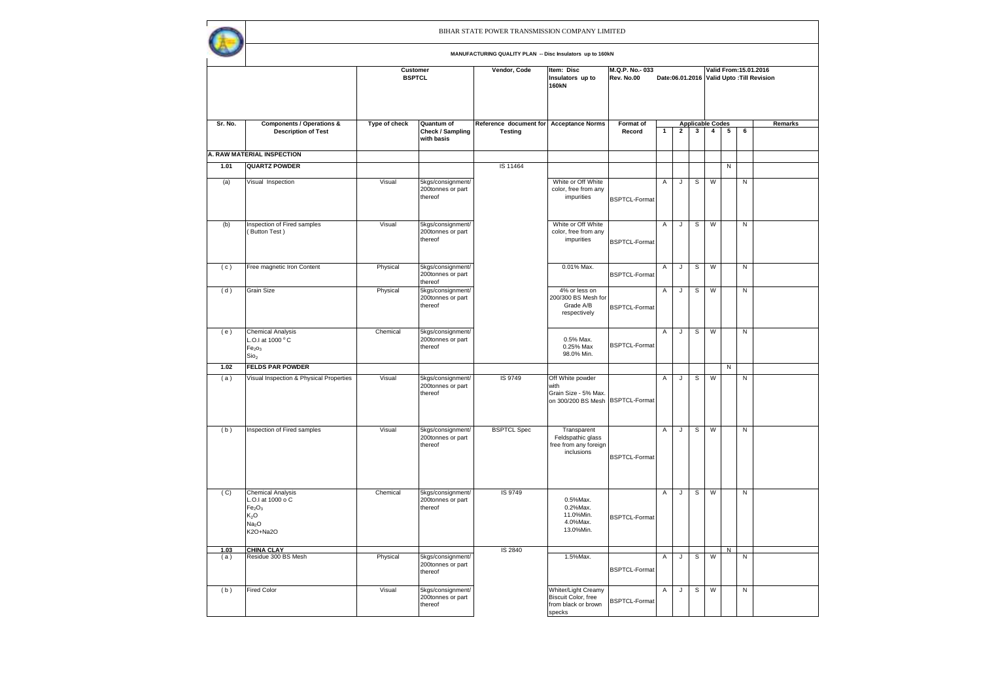|             |                                                                                                                                      |                           |                                                   | BIHAR STATE POWER TRANSMISSION COMPANY LIMITED            |                                                                                      |                              |                |                |              |                                           |           |           |                                                                     |
|-------------|--------------------------------------------------------------------------------------------------------------------------------------|---------------------------|---------------------------------------------------|-----------------------------------------------------------|--------------------------------------------------------------------------------------|------------------------------|----------------|----------------|--------------|-------------------------------------------|-----------|-----------|---------------------------------------------------------------------|
|             |                                                                                                                                      |                           |                                                   | MANUFACTURING QUALITY PLAN -- Disc Insulators up to 160kN |                                                                                      |                              |                |                |              |                                           |           |           |                                                                     |
|             |                                                                                                                                      | Customer<br><b>BSPTCL</b> |                                                   | Vendor, Code                                              | Item: Disc<br>Insulators up to<br><b>160kN</b>                                       | M.Q.P. No. 033<br>Rev. No.00 |                |                |              |                                           |           |           | Valid From: 15.01.2016<br>Date:06.01.2016 Valid Upto: Till Revision |
| Sr. No.     | <b>Components / Operations &amp;</b><br><b>Description of Test</b>                                                                   | Type of check             | Quantum of<br>Check / Sampling<br>with basis      | Reference document for<br><b>Testing</b>                  | <b>Acceptance Norms</b>                                                              | Format of<br>Record          | $\mathbf{1}$   | $\overline{2}$ | $\mathbf{3}$ | <b>Applicable Codes</b><br>$\overline{4}$ | 5         | 6         | Remarks                                                             |
|             | A. RAW MATERIAL INSPECTION                                                                                                           |                           |                                                   |                                                           |                                                                                      |                              |                |                |              |                                           |           |           |                                                                     |
| 1.01        | <b>QUARTZ POWDER</b>                                                                                                                 |                           |                                                   | IS 11464                                                  |                                                                                      |                              |                |                |              |                                           | N         |           |                                                                     |
| (a)         | Visual Inspection                                                                                                                    | Visual                    | 5kgs/consignment/<br>200tonnes or part<br>thereof |                                                           | White or Off White<br>color, free from any<br>impurities                             | <b>BSPTCL-Format</b>         | Α              | J              | s            | W                                         |           | N         |                                                                     |
| (b)         | Inspection of Fired samples<br>(Button Test)                                                                                         | Visual                    | 5kgs/consignment/<br>200tonnes or part<br>thereof |                                                           | White or Off White<br>color, free from any<br>impurities                             | <b>BSPTCL-Format</b>         | A              | $\mathsf J$    | ${\tt S}$    | W                                         |           | ${\sf N}$ |                                                                     |
| (c)         | Free magnetic Iron Content                                                                                                           | Physical                  | 5kgs/consignment/<br>200tonnes or part<br>thereof |                                                           | 0.01% Max.                                                                           | <b>BSPTCL-Format</b>         | Α              | $\mathsf J$    | $\mathbb S$  | W                                         |           | ${\sf N}$ |                                                                     |
| (d)         | Grain Size                                                                                                                           | Physical                  | 5kgs/consignment/<br>200tonnes or part<br>thereof |                                                           | 4% or less on<br>200/300 BS Mesh for<br>Grade A/B<br>respectively                    | <b>BSPTCL-Format</b>         | Α              | J              | $\mathbb S$  | W                                         |           | ${\sf N}$ |                                                                     |
| (e)         | <b>Chemical Analysis</b><br>L.O.I at 1000 °C<br>Fe <sub>2</sub> O <sub>3</sub><br>Sio <sub>2</sub>                                   | Chemical                  | 5kgs/consignment/<br>200tonnes or part<br>thereof |                                                           | 0.5% Max.<br>0.25% Max<br>98.0% Min.                                                 | BSPTCL-Format                | Α              | $\mathsf{J}$   | $\mathsf{s}$ | W                                         |           | ${\sf N}$ |                                                                     |
| 1.02        | <b>FELDS PAR POWDER</b>                                                                                                              |                           |                                                   |                                                           |                                                                                      |                              |                |                |              |                                           | ${\sf N}$ |           |                                                                     |
| (a)         | Visual Inspection & Physical Properties                                                                                              | Visual                    | 5kgs/consignment/<br>200tonnes or part<br>thereof | IS 9749                                                   | Off White powder<br>with<br>Grain Size - 5% Max.<br>on 300/200 BS Mesh BSPTCL-Format |                              | Α              | J              | s            | W                                         |           | ${\sf N}$ |                                                                     |
| (b)         | Inspection of Fired samples                                                                                                          | Visual                    | 5kgs/consignment/<br>200tonnes or part<br>thereof | <b>BSPTCL Spec</b>                                        | Transparent<br>Feldspathic glass<br>free from any foreign<br>inclusions              | <b>BSPTCL-Format</b>         | Α              | J              | s            | W                                         |           | N         |                                                                     |
| (C)         | <b>Chemical Analysis</b><br>L.O.I at 1000 o C<br>Fe <sub>2</sub> O <sub>3</sub><br>K <sub>2</sub> O<br>Na <sub>2</sub> O<br>K2O+Na2O | Chemical                  | 5kgs/consignment/<br>200tonnes or part<br>thereof | IS 9749                                                   | 0.5%Max.<br>0.2%Max.<br>11.0%Min.<br>4.0%Max.<br>13.0%Min.                           | <b>BSPTCL-Format</b>         | $\overline{A}$ | J              | $\mathbb S$  | W                                         |           | N         |                                                                     |
| 1.03<br>(a) | <b>CHINA CLAY</b><br>Residue 300 BS Mesh                                                                                             | Physical                  | 5kgs/consignment/<br>200tonnes or part<br>thereof | IS 2840                                                   | 1.5%Max.                                                                             | <b>BSPTCL-Format</b>         | Α              | $\mathsf{J}$   | s            | W                                         | N         | ${\sf N}$ |                                                                     |
| (b)         | <b>Fired Color</b>                                                                                                                   | Visual                    | 5kgs/consignment/<br>200tonnes or part<br>thereof |                                                           | Whiter/Light Creamy<br>Biscuit Color, free<br>from black or brown<br>specks          | <b>BSPTCL-Format</b>         | $\mathsf{A}$   | J              | S            | W                                         |           | N         |                                                                     |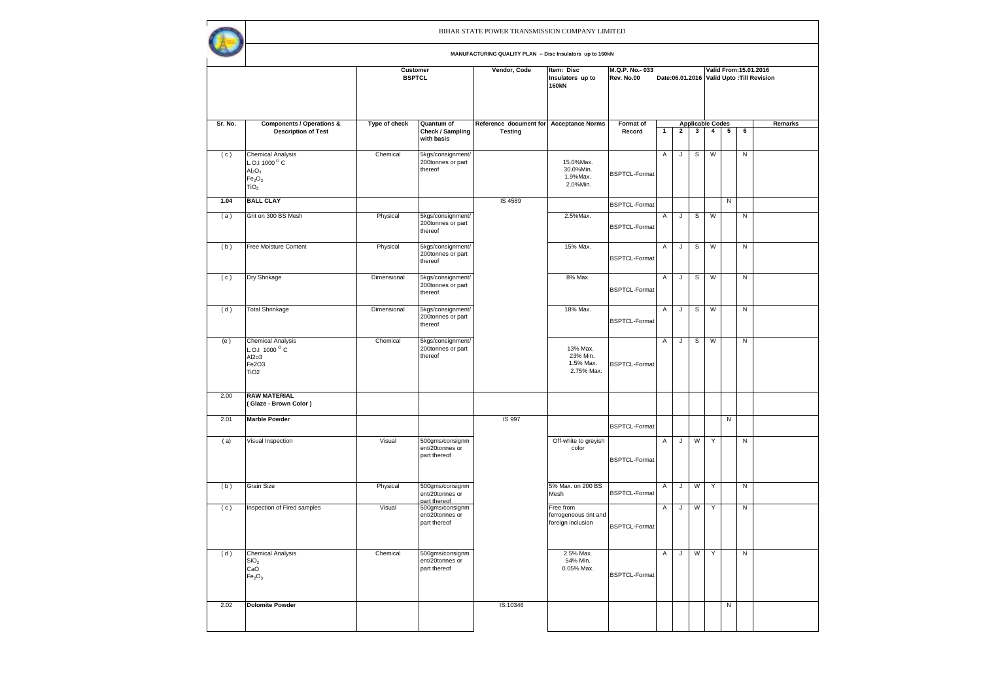|         |                                                                                                                                               |                           |                                                    | BIHAR STATE POWER TRANSMISSION COMPANY LIMITED            |                                                         |                              |              |              |   |                         |   |           |                                                                      |
|---------|-----------------------------------------------------------------------------------------------------------------------------------------------|---------------------------|----------------------------------------------------|-----------------------------------------------------------|---------------------------------------------------------|------------------------------|--------------|--------------|---|-------------------------|---|-----------|----------------------------------------------------------------------|
|         |                                                                                                                                               |                           |                                                    | MANUFACTURING QUALITY PLAN -- Disc Insulators up to 160kN |                                                         |                              |              |              |   |                         |   |           |                                                                      |
|         |                                                                                                                                               | Customer<br><b>BSPTCL</b> |                                                    | Vendor, Code                                              | Item: Disc<br>Insulators up to<br><b>160kN</b>          | M.Q.P. No. 033<br>Rev. No.00 |              |              |   |                         |   |           | Valid From: 15.01.2016<br>Date:06.01.2016 Valid Upto : Till Revision |
| Sr. No. | <b>Components / Operations &amp;</b>                                                                                                          | Type of check             | Quantum of                                         | Reference document for Acceptance Norms                   |                                                         | Format of                    |              |              |   | <b>Applicable Codes</b> |   |           | Remarks                                                              |
|         | <b>Description of Test</b>                                                                                                                    |                           | Check / Sampling<br>with basis                     | <b>Testing</b>                                            |                                                         | Record                       | $\mathbf{1}$ | $\mathbf{2}$ | 3 | 4                       | 5 | 6         |                                                                      |
| (c)     | <b>Chemical Analysis</b><br>L.O.I 1000 <sup>O</sup> C<br>Al <sub>2</sub> O <sub>3</sub><br>Fe <sub>2</sub> O <sub>3</sub><br>TiO <sub>2</sub> | Chemical                  | 5kgs/consignment/<br>200tonnes or part<br>thereof  |                                                           | 15.0%Max.<br>30.0%Min.<br>1.9%Max.<br>2.0%Min.          | <b>BSPTCL-Format</b>         | A            | J            | s | W                       |   | ${\sf N}$ |                                                                      |
| 1.04    | <b>BALL CLAY</b>                                                                                                                              |                           |                                                    | IS 4589                                                   |                                                         | <b>BSPTCL-Format</b>         |              |              |   |                         | N |           |                                                                      |
| (a)     | Grit on 300 BS Mesh                                                                                                                           | Physical                  | 5kgs/consignment/<br>200tonnes or part<br>thereof  |                                                           | 2.5%Max.                                                | <b>BSPTCL-Format</b>         | Α            | J            | s | W                       |   | ${\sf N}$ |                                                                      |
| (b)     | Free Moisture Content                                                                                                                         | Physical                  | 5kgs/consignment/<br>200tonnes or part<br>thereof  |                                                           | 15% Max.                                                | <b>BSPTCL-Format</b>         | Α            | J            | s | W                       |   | N         |                                                                      |
| (c)     | Dry Shrikage                                                                                                                                  | Dimensional               | 5kgs/consignment/<br>200tonnes or part<br>thereof  |                                                           | 8% Max.                                                 | <b>BSPTCL-Format</b>         | Α            | J            | s | W                       |   | N         |                                                                      |
| (d)     | <b>Total Shrinkage</b>                                                                                                                        | Dimensional               | 5kgs/consignment/<br>200tonnes or part<br>thereof  |                                                           | 18% Max.                                                | <b>BSPTCL-Format</b>         | Α            | J            | s | W                       |   | N         |                                                                      |
| (e)     | <b>Chemical Analysis</b><br>L.O.I 1000 °C<br>Al2o3<br>Fe2O3<br>TiO <sub>2</sub>                                                               | Chemical                  | 5kgs/consignment/<br>200tonnes or part<br>thereof  |                                                           | 13% Max.<br>23% Min.<br>1.5% Max.<br>2.75% Max.         | <b>BSPTCL-Format</b>         | A            | J            | s | W                       |   | N         |                                                                      |
| 2.00    | <b>RAW MATERIAL</b><br>(Glaze - Brown Color)                                                                                                  |                           |                                                    |                                                           |                                                         |                              |              |              |   |                         |   |           |                                                                      |
| 2.01    | <b>Marble Powder</b>                                                                                                                          |                           |                                                    | IS 997                                                    |                                                         | <b>BSPTCL-Format</b>         |              |              |   |                         | N |           |                                                                      |
| (a)     | Visual Inspection                                                                                                                             | Visual                    | 500gms/consignm<br>ent/20tonnes or<br>part thereof |                                                           | Off-white to greyish<br>color                           | <b>BSPTCL-Format</b>         | Α            | J            | W | Y                       |   | N         |                                                                      |
| (b)     | Grain Size                                                                                                                                    | Physical                  | 500gms/consignm<br>ent/20tonnes or<br>part thereof |                                                           | 5% Max. on 200 BS<br>Mesh                               | <b>BSPTCL-Format</b>         | Α            | J            | W | Y                       |   | ${\sf N}$ |                                                                      |
| (c)     | Inspection of Fired samples                                                                                                                   | Visual                    | 500gms/consignm<br>ent/20tonnes or<br>part thereof |                                                           | Free from<br>ferrogeneous tint and<br>foreign inclusion | <b>BSPTCL-Format</b>         | A            | J            | W | Y                       |   | ${\sf N}$ |                                                                      |
| (d)     | <b>Chemical Analysis</b><br>SiO <sub>2</sub><br>CaO<br>Fe <sub>2</sub> O <sub>3</sub>                                                         | Chemical                  | 500gms/consignm<br>ent/20tonnes or<br>part thereof |                                                           | 2.5% Max.<br>54% Min.<br>0.05% Max.                     | <b>BSPTCL-Format</b>         | A            | $\mathsf{J}$ | W | Y                       |   | Z         |                                                                      |
| 2.02    | <b>Dolomite Powder</b>                                                                                                                        |                           |                                                    | IS:10346                                                  |                                                         |                              |              |              |   |                         | N |           |                                                                      |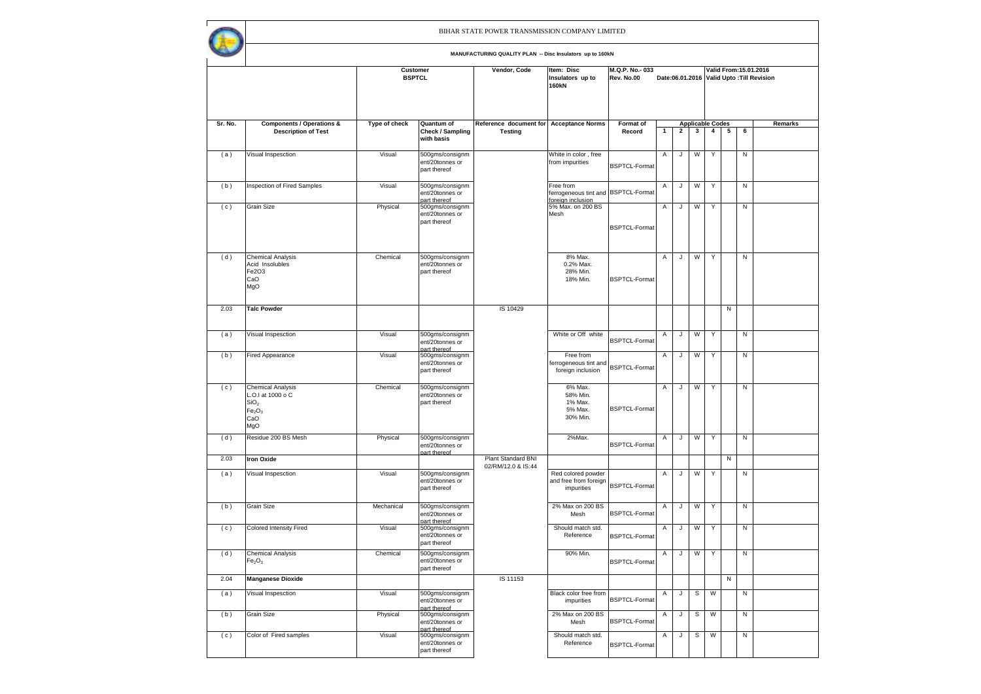|         |                                                                                                                   |               |                                                                    | BIHAR STATE POWER TRANSMISSION COMPANY LIMITED            |                                                           |                              |              |                |                         |                |              |           |                                                                     |
|---------|-------------------------------------------------------------------------------------------------------------------|---------------|--------------------------------------------------------------------|-----------------------------------------------------------|-----------------------------------------------------------|------------------------------|--------------|----------------|-------------------------|----------------|--------------|-----------|---------------------------------------------------------------------|
|         |                                                                                                                   |               |                                                                    | MANUFACTURING QUALITY PLAN -- Disc Insulators up to 160kN |                                                           |                              |              |                |                         |                |              |           |                                                                     |
|         |                                                                                                                   |               | Customer<br><b>BSPTCL</b>                                          | Vendor, Code                                              | Item: Disc<br>Insulators up to<br>160kN                   | M.Q.P. No. 033<br>Rev. No.00 |              |                |                         |                |              |           | Valid From: 15.01.2016<br>Date:06.01.2016 Valid Upto: Till Revision |
| Sr. No. | <b>Components / Operations &amp;</b>                                                                              | Type of check | Quantum of                                                         | Reference document for                                    | <b>Acceptance Norms</b>                                   | Format of                    |              |                | <b>Applicable Codes</b> |                |              |           | Remarks                                                             |
|         | <b>Description of Test</b>                                                                                        |               | Check / Sampling<br>with basis                                     | <b>Testing</b>                                            |                                                           | Record                       | $\mathbf{1}$ | $\overline{2}$ | $\mathbf{3}$            | $\overline{4}$ | 5            | 6         |                                                                     |
| (a)     | Visual Inspesction                                                                                                | Visual        | 500gms/consignm<br>ent/20tonnes or<br>part thereof                 |                                                           | White in color, free<br>from impurities                   | <b>BSPTCL-Format</b>         | Α            | J              | W                       | Y              |              | N         |                                                                     |
| (b)     | Inspection of Fired Samples                                                                                       | Visual        | 500gms/consignm<br>ent/20tonnes or<br>hart thereof                 |                                                           | Free from<br>ferrogeneous tint and<br>foreian inclusion   | <b>BSPTCL-Format</b>         | Α            | J              | W                       | Y              |              | N         |                                                                     |
| (c)     | Grain Size                                                                                                        | Physical      | 500gms/consignm<br>ent/20tonnes or<br>part thereof                 |                                                           | 5% Max. on 200 BS<br>Mesh                                 | <b>BSPTCL-Format</b>         | Α            | J              | W                       | Y              |              | N         |                                                                     |
| (d)     | <b>Chemical Analysis</b><br>Acid Insolubles<br>Fe2O3<br>CaO<br>MgO                                                | Chemical      | 500gms/consignm<br>ent/20tonnes or<br>part thereof                 |                                                           | 8% Max.<br>0.2% Max.<br>28% Min.<br>18% Min.              | <b>BSPTCL-Format</b>         | Α            | J              | W                       | Y              |              | Ν         |                                                                     |
| 2.03    | <b>Talc Powder</b>                                                                                                |               |                                                                    | IS 10429                                                  |                                                           |                              |              |                |                         |                | N            |           |                                                                     |
| (a)     | Visual Inspesction                                                                                                | Visual        | 500gms/consignm<br>ent/20tonnes or                                 |                                                           | White or Off white                                        | <b>BSPTCL-Format</b>         | Α            | J              | W                       | Y              |              | N         |                                                                     |
| (b)     | <b>Fired Appearance</b>                                                                                           | Visual        | part thereof<br>500gms/consignm<br>ent/20tonnes or<br>part thereof |                                                           | Free from<br>ferrogeneous tint and<br>foreign inclusion   | <b>BSPTCL-Format</b>         | Α            | J              | W                       | Y              |              | N         |                                                                     |
| (c)     | <b>Chemical Analysis</b><br>L.O.I at 1000 o C<br>SiO <sub>2</sub><br>Fe <sub>2</sub> O <sub>3</sub><br>CaO<br>MgO | Chemical      | 500gms/consignm<br>ent/20tonnes or<br>part thereof                 |                                                           | 6% Max.<br>58% Min.<br>1% Max.<br>5% Max.<br>30% Min.     | <b>BSPTCL-Format</b>         | Α            | J              | W                       | Y              |              | Ν         |                                                                     |
| (d)     | Residue 200 BS Mesh                                                                                               | Physical      | 500gms/consignm<br>ent/20tonnes or<br>nart thereof                 |                                                           | 2%Max.                                                    | <b>BSPTCL-Format</b>         | Α            | J              | W                       | Y              |              | N         |                                                                     |
| 2.03    | <b>Iron Oxide</b>                                                                                                 |               |                                                                    | Plant Standard BNI<br>02/RM/12.0 & IS:44                  |                                                           |                              |              |                |                         |                | N            |           |                                                                     |
| (a)     | Visual Inspesction                                                                                                | Visual        | 500gms/consignm<br>ent/20tonnes or<br>part thereof                 |                                                           | Red colored powder<br>and free from foreign<br>impurities | <b>BSPTCL-Format</b>         | Α            | J              | W                       | Y              |              | N         |                                                                     |
| (b)     | <b>Grain Size</b>                                                                                                 | Mechanical    | 500gms/consignm<br>ent/20tonnes or<br>hart thereof                 |                                                           | 2% Max on 200 BS<br>Mesh                                  | <b>BSPTCL-Format</b>         | Α            | J              | W                       | Y              |              | N         |                                                                     |
| (c)     | <b>Colored Intensity Fired</b>                                                                                    | Visual        | 500gms/consignm<br>ent/20tonnes or<br>part thereof                 |                                                           | Should match std.<br>Reference                            | <b>BSPTCL-Format</b>         | Α            | J              | W                       | Υ              |              | N         |                                                                     |
| (d)     | <b>Chemical Analysis</b><br>Fe <sub>2</sub> O <sub>3</sub>                                                        | Chemical      | 500gms/consignm<br>ent/20tonnes or<br>part thereof                 |                                                           | 90% Min.                                                  | <b>BSPTCL-Format</b>         | Α            | J              | W                       | Y              |              | Z         |                                                                     |
| 2.04    | <b>Manganese Dioxide</b>                                                                                          |               |                                                                    | IS 11153                                                  |                                                           |                              |              |                |                         |                | $\mathsf{N}$ |           |                                                                     |
| (a)     | Visual Inspesction                                                                                                | Visual        | 500gms/consignm<br>ent/20tonnes or<br>nart thereof                 |                                                           | Black color free from<br>impurities                       | <b>BSPTCL-Format</b>         | Α            | J              | s                       | W              |              | N         |                                                                     |
| (b)     | Grain Size                                                                                                        | Physical      | 500gms/consignm<br>ent/20tonnes or<br>part thereof                 |                                                           | 2% Max on 200 BS<br>Mesh                                  | <b>BSPTCL-Format</b>         | Α            | J              | s                       | W              |              | ${\sf N}$ |                                                                     |
| (c)     | Color of Fired samples                                                                                            | Visual        | 500gms/consignm<br>ent/20tonnes or<br>part thereof                 |                                                           | Should match std.<br>Reference                            | <b>BSPTCL-Format</b>         | Α            | J              | $\mathbb S$             | ${\sf W}$      |              | ${\sf N}$ |                                                                     |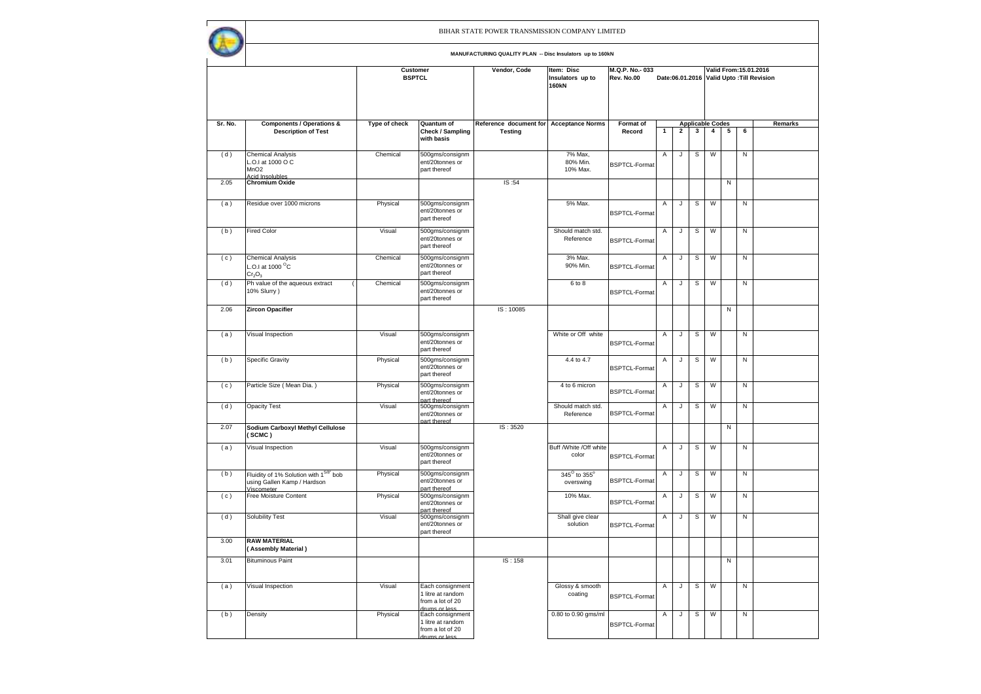|         |                                                                                             |                           |                                                                            | BIHAR STATE POWER TRANSMISSION COMPANY LIMITED            |                                         |                              |   |              |   |                         |   |           |                                                                     |
|---------|---------------------------------------------------------------------------------------------|---------------------------|----------------------------------------------------------------------------|-----------------------------------------------------------|-----------------------------------------|------------------------------|---|--------------|---|-------------------------|---|-----------|---------------------------------------------------------------------|
|         |                                                                                             |                           |                                                                            | MANUFACTURING QUALITY PLAN -- Disc Insulators up to 160kN |                                         |                              |   |              |   |                         |   |           |                                                                     |
|         |                                                                                             | Customer<br><b>BSPTCL</b> |                                                                            | Vendor, Code                                              | Item: Disc<br>Insulators up to<br>160kN | M.Q.P. No. 033<br>Rev. No.00 |   |              |   |                         |   |           | Valid From: 15.01.2016<br>Date:06.01.2016 Valid Upto: Till Revision |
| Sr. No. | <b>Components / Operations &amp;</b>                                                        | Type of check             | Quantum of                                                                 | Reference document for Acceptance Norms                   |                                         | Format of                    |   |              |   | <b>Applicable Codes</b> |   |           | Remarks                                                             |
|         | <b>Description of Test</b>                                                                  |                           | Check / Sampling<br>with basis                                             | <b>Testing</b>                                            |                                         | Record                       | 1 | $\mathbf{2}$ | 3 | $\overline{4}$          | 5 | 6         |                                                                     |
| (d)     | <b>Chemical Analysis</b><br>L.O.I at 1000 O C<br>MnO <sub>2</sub><br><b>Acid Insolubles</b> | Chemical                  | 500gms/consignm<br>ent/20tonnes or<br>part thereof                         |                                                           | 7% Max,<br>80% Min.<br>10% Max.         | <b>BSPTCL-Format</b>         | Α | J            | s | W                       |   | N         |                                                                     |
| 2.05    | <b>Chromium Oxide</b>                                                                       |                           |                                                                            | IS:54                                                     |                                         |                              |   |              |   |                         | N |           |                                                                     |
| (a)     | Residue over 1000 microns                                                                   | Physical                  | 500gms/consignm<br>ent/20tonnes or<br>part thereof                         |                                                           | 5% Max.                                 | <b>BSPTCL-Format</b>         | Α | J            | s | W                       |   | N         |                                                                     |
| (b)     | <b>Fired Color</b>                                                                          | Visual                    | 500gms/consignm<br>ent/20tonnes or<br>part thereof                         |                                                           | Should match std.<br>Reference          | <b>BSPTCL-Format</b>         | Α | J            | s | W                       |   | ${\sf N}$ |                                                                     |
| (c)     | <b>Chemical Analysis</b><br>L.O.I at 1000 <sup>o</sup> C<br>Cr <sub>2</sub> O <sub>3</sub>  | Chemical                  | 500gms/consignm<br>ent/20tonnes or<br>part thereof                         |                                                           | 3% Max.<br>90% Min.                     | <b>BSPTCL-Format</b>         | Α | J            | s | W                       |   | N         |                                                                     |
| (d)     | Ph value of the aqueous extract<br>10% Slurry)                                              | Chemical                  | 500gms/consignm<br>ent/20tonnes or<br>part thereof                         |                                                           | 6 to 8                                  | <b>BSPTCL-Format</b>         | Α | J            | s | W                       |   | N         |                                                                     |
| 2.06    | <b>Zircon Opacifier</b>                                                                     |                           |                                                                            | IS: 10085                                                 |                                         |                              |   |              |   |                         | N |           |                                                                     |
| (a)     | Visual Inspection                                                                           | Visual                    | 500gms/consignm<br>ent/20tonnes or<br>part thereof                         |                                                           | White or Off white                      | <b>BSPTCL-Format</b>         | Α | J            | s | W                       |   | N         |                                                                     |
| (b)     | <b>Specific Gravity</b>                                                                     | Physical                  | 500gms/consignm<br>ent/20tonnes or<br>part thereof                         |                                                           | 4.4 to 4.7                              | <b>BSPTCL-Format</b>         | Α | J            | s | W                       |   | N         |                                                                     |
| (c)     | Particle Size (Mean Dia.)                                                                   | Physical                  | 500gms/consignm<br>ent/20tonnes or<br>nart thereof                         |                                                           | 4 to 6 micron                           | <b>BSPTCL-Format</b>         | Α | J            | s | W                       |   | ${\sf N}$ |                                                                     |
| (d)     | <b>Opacity Test</b>                                                                         | Visual                    | 500gms/consignm<br>ent/20tonnes or<br>part thereof                         |                                                           | Should match std.<br>Reference          | <b>BSPTCL-Format</b>         | Α | J            | s | W                       |   | N         |                                                                     |
| 2.07    | Sodium Carboxyl Methyl Cellulose<br>(SCMC)                                                  |                           |                                                                            | IS: 3520                                                  |                                         |                              |   |              |   |                         | N |           |                                                                     |
| (a)     | Visual Inspection                                                                           | Visual                    | 500gms/consignm<br>ent/20tonnes or<br>part thereof                         |                                                           | Buff / White / Off white<br>color       | <b>BSPTCL-Format</b>         | Α | J            | s | W                       |   | N         |                                                                     |
| (b)     | Fluidity of 1% Solution with 15/8" bob<br>using Gallen Kamp / Hardson<br><b>Viscometer</b>  | Physical                  | 500gms/consignm<br>ent/20tonnes or<br>part thereof                         |                                                           | 345° to 355°<br>overswing               | <b>BSPTCL-Format</b>         | Α | J            | s | W                       |   | N         |                                                                     |
| (c)     | Free Moisture Content                                                                       | Physical                  | 500gms/consignm<br>ent/20tonnes or<br>part thereof                         |                                                           | 10% Max.                                | <b>BSPTCL-Format</b>         | Α | J            | s | W                       |   | N         |                                                                     |
| (d)     | Solubility Test                                                                             | Visual                    | 500gms/consignm<br>ent/20tonnes or<br>part thereof                         |                                                           | Shall give clear<br>solution            | <b>BSPTCL-Format</b>         | Α | J            | s | W                       |   | N         |                                                                     |
| 3.00    | <b>RAW MATERIAL</b><br>(Assembly Material)                                                  |                           |                                                                            |                                                           |                                         |                              |   |              |   |                         |   |           |                                                                     |
| 3.01    | <b>Bituminous Paint</b>                                                                     |                           |                                                                            | IS: 158                                                   |                                         |                              |   |              |   |                         | N |           |                                                                     |
| (a)     | Visual Inspection                                                                           | Visual                    | Each consignment<br>1 litre at random<br>from a lot of 20<br>drums or less |                                                           | Glossy & smooth<br>coating              | <b>BSPTCL-Format</b>         | Α | J            | s | W                       |   | N         |                                                                     |
| (b)     | Density                                                                                     | Physical                  | Each consignment<br>1 litre at random<br>from a lot of 20<br>zeel to zminh |                                                           | 0.80 to 0.90 gms/ml                     | <b>BSPTCL-Format</b>         | Α | J            | s | W                       |   | ${\sf N}$ |                                                                     |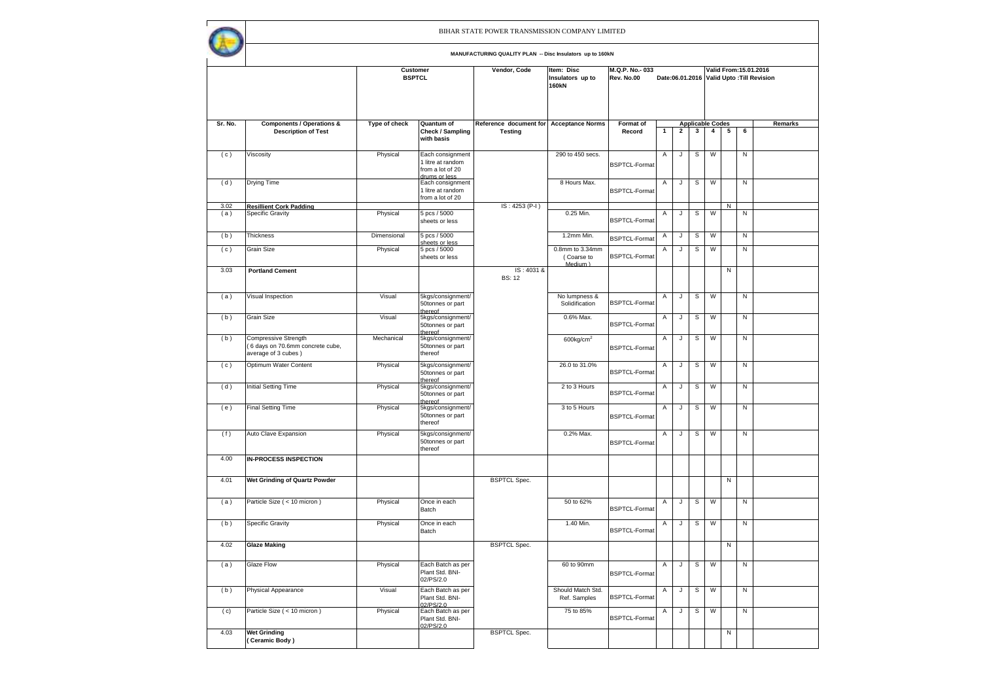|             |                                                                                       |                                  |                                                                            | BIHAR STATE POWER TRANSMISSION COMPANY LIMITED            |                                                |                              |   |              |              |                                           |   |           |                                                                     |
|-------------|---------------------------------------------------------------------------------------|----------------------------------|----------------------------------------------------------------------------|-----------------------------------------------------------|------------------------------------------------|------------------------------|---|--------------|--------------|-------------------------------------------|---|-----------|---------------------------------------------------------------------|
|             |                                                                                       |                                  |                                                                            | MANUFACTURING QUALITY PLAN -- Disc Insulators up to 160kN |                                                |                              |   |              |              |                                           |   |           |                                                                     |
|             |                                                                                       | <b>Customer</b><br><b>BSPTCL</b> |                                                                            | Vendor, Code                                              | Item: Disc<br>Insulators up to<br><b>160kN</b> | M.Q.P. No. 033<br>Rev. No.00 |   |              |              |                                           |   |           | Valid From: 15.01.2016<br>Date:06.01.2016 Valid Upto: Till Revision |
| Sr. No.     | <b>Components / Operations &amp;</b><br><b>Description of Test</b>                    | Type of check                    | Quantum of<br>Check / Sampling                                             | Reference document for Acceptance Norms<br><b>Testing</b> |                                                | Format of<br>Record          | 1 | $\mathbf{2}$ | $\mathbf{3}$ | <b>Applicable Codes</b><br>$\overline{4}$ | 5 | 6         | Remarks                                                             |
|             |                                                                                       |                                  | with basis                                                                 |                                                           |                                                |                              |   |              |              |                                           |   |           |                                                                     |
| (c)         | Viscosity                                                                             | Physical                         | Each consignment<br>1 litre at random<br>from a lot of 20<br>zzal 10 zminh |                                                           | 290 to 450 secs.                               | <b>BSPTCL-Format</b>         | Α | J            | s            | W                                         |   | N         |                                                                     |
| (d)         | Drying Time                                                                           |                                  | Each consignment<br>1 litre at random<br>from a lot of 20                  |                                                           | 8 Hours Max.                                   | <b>BSPTCL-Format</b>         | Α | J            | s            | W                                         |   | N         |                                                                     |
| 3.02<br>(a) | <b>Resillient Cork Padding</b><br><b>Specific Gravity</b>                             | Physical                         | 5 pcs / 5000                                                               | IS: 4253 (P-I)                                            | 0.25 Min.                                      |                              | Α | J            | s            | W                                         | N | N         |                                                                     |
|             |                                                                                       |                                  | sheets or less                                                             |                                                           |                                                | <b>BSPTCL-Format</b>         |   |              |              |                                           |   |           |                                                                     |
| (b)         | Thickness                                                                             | Dimensional                      | 5 pcs / 5000<br>sheets or less                                             |                                                           | 1.2mm Min.                                     | <b>BSPTCL-Format</b>         | Α | J            | s            | W                                         |   | ${\sf N}$ |                                                                     |
| (c)         | Grain Size                                                                            | Physical                         | 5 pcs / 5000<br>sheets or less                                             |                                                           | 0.8mm to 3.34mm<br>(Coarse to<br>Medium )      | <b>BSPTCL-Format</b>         | Α | J            | s            | W                                         |   | ${\sf N}$ |                                                                     |
| 3.03        | <b>Portland Cement</b>                                                                |                                  |                                                                            | IS: 4031 &<br><b>BS: 12</b>                               |                                                |                              |   |              |              |                                           | N |           |                                                                     |
| (a)         | Visual Inspection                                                                     | Visual                           | 5kgs/consignment/<br>50tonnes or part<br>thereof                           |                                                           | No lumpness &<br>Solidification                | <b>BSPTCL-Format</b>         | Α | J            | s            | W                                         |   | N         |                                                                     |
| (b)         | Grain Size                                                                            | Visual                           | 5kgs/consignment/<br>50tonnes or part<br>thereof                           |                                                           | 0.6% Max.                                      | <b>BSPTCL-Format</b>         | Α | J            | s            | W                                         |   | N         |                                                                     |
| (b)         | <b>Compressive Strength</b><br>6 days on 70.6mm concrete cube,<br>average of 3 cubes) | Mechanical                       | 5kgs/consignment/<br>50tonnes or part<br>thereof                           |                                                           | $600$ kg/cm <sup>2</sup>                       | <b>BSPTCL-Format</b>         | Α | J            | s            | W                                         |   | N         |                                                                     |
| (c)         | Optimum Water Content                                                                 | Physical                         | 5kgs/consignment/<br>50tonnes or part<br>thereof                           |                                                           | 26.0 to 31.0%                                  | <b>BSPTCL-Format</b>         | Α | J            | s            | W                                         |   | N         |                                                                     |
| (d)         | Initial Setting Time                                                                  | Physical                         | 5kgs/consignment/<br>50tonnes or part<br>thereof                           |                                                           | 2 to 3 Hours                                   | <b>BSPTCL-Format</b>         | Α | J            | s            | W                                         |   | N         |                                                                     |
| (e)         | <b>Final Setting Time</b>                                                             | Physical                         | 5kgs/consignment/<br>50tonnes or part<br>thereof                           |                                                           | 3 to 5 Hours                                   | <b>BSPTCL-Format</b>         | Α | J            | s            | W                                         |   | N         |                                                                     |
| (f)         | Auto Clave Expansion                                                                  | Physical                         | 5kgs/consignment/<br>50tonnes or part<br>thereof                           |                                                           | 0.2% Max.                                      | <b>BSPTCL-Format</b>         | Α | J            | s            | W                                         |   | N         |                                                                     |
| 4.00        | <b>IN-PROCESS INSPECTION</b>                                                          |                                  |                                                                            |                                                           |                                                |                              |   |              |              |                                           |   |           |                                                                     |
| 4.01        | Wet Grinding of Quartz Powder                                                         |                                  |                                                                            | <b>BSPTCL Spec.</b>                                       |                                                |                              |   |              |              |                                           | Ν |           |                                                                     |
| (a)         | Particle Size (< 10 micron)                                                           | Physical                         | Once in each<br>Batch                                                      |                                                           | 50 to 62%                                      | <b>BSPTCL-Format</b>         | Α | J            | s            | W                                         |   | N         |                                                                     |
| (b)         | <b>Specific Gravity</b>                                                               | Physical                         | Once in each<br>Batch                                                      |                                                           | 1.40 Min.                                      | <b>BSPTCL-Format</b>         | Α | J            | s            | W                                         |   | N         |                                                                     |
| 4.02        | <b>Glaze Making</b>                                                                   |                                  |                                                                            | <b>BSPTCL Spec.</b>                                       |                                                |                              |   |              |              |                                           | N |           |                                                                     |
| (a)         | Glaze Flow                                                                            | Physical                         | Each Batch as per<br>Plant Std. BNI-<br>02/PS/2.0                          |                                                           | 60 to 90mm                                     | <b>BSPTCL-Format</b>         | Α | $\sf J$      | s            | W                                         |   | N         |                                                                     |
| (b)         | Physical Appearance                                                                   | Visual                           | Each Batch as per<br>Plant Std. BNI-<br>02/PS/2.0                          |                                                           | Should Match Std.<br>Ref. Samples              | <b>BSPTCL-Format</b>         | Α | J            | s            | W                                         |   | N         |                                                                     |
| (c)         | Particle Size (< 10 micron)                                                           | Physical                         | Each Batch as per<br>Plant Std. BNI-<br>02/PS/2.0                          |                                                           | 75 to 85%                                      | <b>BSPTCL-Format</b>         | Α | J            | s            | W                                         |   | N         |                                                                     |
| 4.03        | <b>Wet Grinding</b><br>(Ceramic Body)                                                 |                                  |                                                                            | <b>BSPTCL Spec.</b>                                       |                                                |                              |   |              |              |                                           | N |           |                                                                     |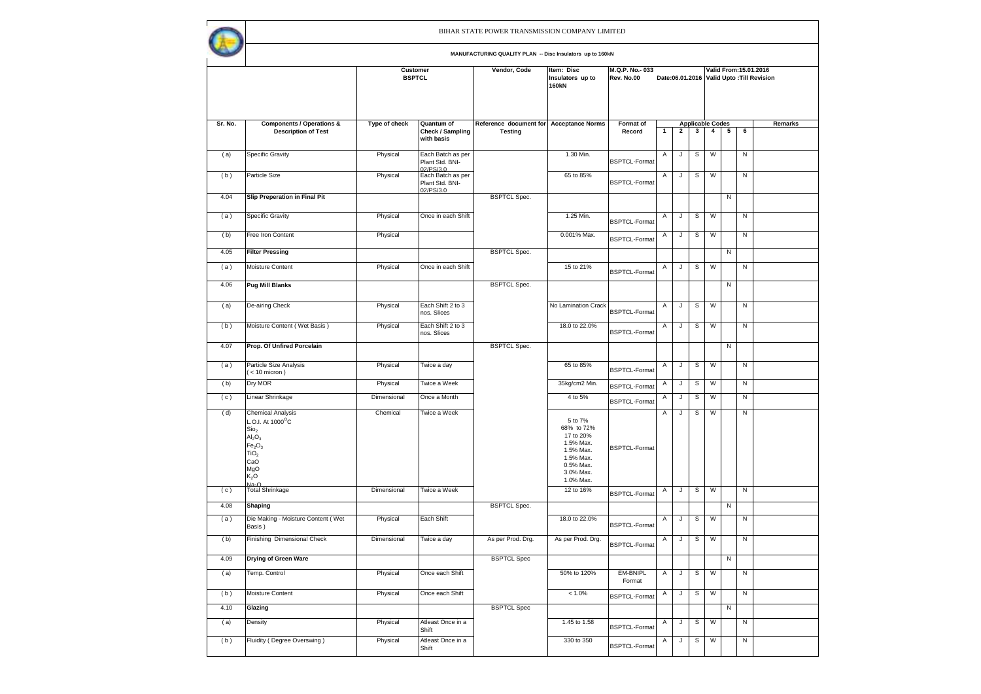|         |                                                                                                                                                                                                   |               | Customer<br><b>BSPTCL</b>                         | Vendor, Code                                              | Item: Disc<br>Insulators up to<br><b>160kN</b>                                                                   | M.Q.P. No. - 033<br>Rev. No.00 |   |                |                              |                |   |              | Valid From: 15.01.2016<br>Date:06.01.2016 Valid Upto: Till Revision |
|---------|---------------------------------------------------------------------------------------------------------------------------------------------------------------------------------------------------|---------------|---------------------------------------------------|-----------------------------------------------------------|------------------------------------------------------------------------------------------------------------------|--------------------------------|---|----------------|------------------------------|----------------|---|--------------|---------------------------------------------------------------------|
| Sr. No. | <b>Components / Operations &amp;</b><br><b>Description of Test</b>                                                                                                                                | Type of check | Quantum of<br>Check / Sampling                    | Reference document for Acceptance Norms<br><b>Testing</b> |                                                                                                                  | Format of<br>Record            | 1 | $\overline{2}$ | <b>Applicable Codes</b><br>3 | $\overline{4}$ | 5 | 6            | Remarks                                                             |
|         |                                                                                                                                                                                                   |               | with basis                                        |                                                           |                                                                                                                  |                                |   |                |                              |                |   |              |                                                                     |
| (a)     | <b>Specific Gravity</b>                                                                                                                                                                           | Physical      | Each Batch as per<br>Plant Std. BNI-<br>02/PS/3.0 |                                                           | 1.30 Min.                                                                                                        | <b>BSPTCL-Format</b>           | Α | J              | s                            | W              |   | N            |                                                                     |
| (b)     | Particle Size                                                                                                                                                                                     | Physical      | Each Batch as per<br>Plant Std. BNI-<br>02/PS/3.0 |                                                           | 65 to 85%                                                                                                        | <b>BSPTCL-Format</b>           | Α | J              | S                            | W              |   | N            |                                                                     |
| 4.04    | <b>Slip Preperation in Final Pit</b>                                                                                                                                                              |               |                                                   | <b>BSPTCL Spec.</b>                                       |                                                                                                                  |                                |   |                |                              |                | N |              |                                                                     |
| (a)     | Specific Gravity                                                                                                                                                                                  | Physical      | Once in each Shift                                |                                                           | 1.25 Min.                                                                                                        | <b>BSPTCL-Format</b>           | Α | J              | s                            | W              |   | N            |                                                                     |
| (b)     | Free Iron Content                                                                                                                                                                                 | Physical      |                                                   |                                                           | 0.001% Max.                                                                                                      | <b>BSPTCL-Format</b>           | Α | J              | $\mathsf S$                  | W              |   | N            |                                                                     |
| 4.05    | <b>Filter Pressing</b>                                                                                                                                                                            |               |                                                   | <b>BSPTCL Spec.</b>                                       |                                                                                                                  |                                |   |                |                              |                | N |              |                                                                     |
| (a)     | Moisture Content                                                                                                                                                                                  | Physical      | Once in each Shift                                |                                                           | 15 to 21%                                                                                                        | <b>BSPTCL-Format</b>           | Α | J              | s                            | W              |   | N            |                                                                     |
| 4.06    | <b>Pug Mill Blanks</b>                                                                                                                                                                            |               |                                                   | <b>BSPTCL Spec.</b>                                       |                                                                                                                  |                                |   |                |                              |                | N |              |                                                                     |
| (a)     | De-airing Check                                                                                                                                                                                   | Physical      | Each Shift 2 to 3<br>nos. Slices                  |                                                           | No Lamination Crack                                                                                              | <b>BSPTCL-Format</b>           | Α | J              | S                            | W              |   | N            |                                                                     |
| (b)     | Moisture Content (Wet Basis)                                                                                                                                                                      | Physical      | Each Shift 2 to 3<br>nos. Slices                  |                                                           | 18.0 to 22.0%                                                                                                    | <b>BSPTCL-Format</b>           | A | J              | S                            | W              |   | Z            |                                                                     |
| 4.07    | Prop. Of Unfired Porcelain                                                                                                                                                                        |               |                                                   | <b>BSPTCL Spec.</b>                                       |                                                                                                                  |                                |   |                |                              |                | N |              |                                                                     |
| (a)     | Particle Size Analysis<br>$(< 10$ micron)                                                                                                                                                         | Physical      | Twice a day                                       |                                                           | 65 to 85%                                                                                                        | <b>BSPTCL-Format</b>           | Α | J              | S                            | W              |   | N            |                                                                     |
| (b)     | Dry MOR                                                                                                                                                                                           | Physical      | Twice a Week                                      |                                                           | 35kg/cm2 Min.                                                                                                    | <b>BSPTCL-Format</b>           | Α | J              | $\mathbb S$                  | W              |   | N            |                                                                     |
| (c)     | Linear Shrinkage                                                                                                                                                                                  | Dimensional   | Once a Month                                      |                                                           | 4 to 5%                                                                                                          | <b>BSPTCL-Format</b>           | Α | J              | $\mathbb S$                  | W              |   | $\mathsf{N}$ |                                                                     |
| (d)     | <b>Chemical Analysis</b><br>L.O.I. At 1000°C<br>Sio <sub>2</sub><br>Al <sub>2</sub> O <sub>3</sub><br>Fe <sub>2</sub> O <sub>3</sub><br>TiO <sub>2</sub><br>CaO<br>MgO<br>K <sub>2</sub> O<br>Na. | Chemical      | Twice a Week                                      |                                                           | 5 to 7%<br>68% to 72%<br>17 to 20%<br>1.5% Max.<br>1.5% Max.<br>1.5% Max.<br>0.5% Max.<br>3.0% Max.<br>1.0% Max. | <b>BSPTCL-Format</b>           | Α | J              | s                            | W              |   | N            |                                                                     |
| (c)     | <b>Total Shrinkage</b>                                                                                                                                                                            | Dimensional   | Twice a Week                                      |                                                           | 12 to 16%                                                                                                        | <b>BSPTCL-Format</b>           | Α | J              | s                            | W              |   | Z            |                                                                     |
| 4.08    | Shaping                                                                                                                                                                                           |               |                                                   | <b>BSPTCL Spec.</b>                                       |                                                                                                                  |                                |   |                |                              |                | N |              |                                                                     |
| (a)     | Die Making - Moisture Content (Wet<br>Basis)                                                                                                                                                      | Physical      | Each Shift                                        |                                                           | 18.0 to 22.0%                                                                                                    | <b>BSPTCL-Format</b>           | Α | J              | s                            | W              |   | N            |                                                                     |
| (b)     | Finishing Dimensional Check                                                                                                                                                                       | Dimensional   | Twice a day                                       | As per Prod. Drg.                                         | As per Prod. Drg.                                                                                                | <b>BSPTCL-Format</b>           | Α | J              | S                            | W              |   | N            |                                                                     |
| 4.09    | <b>Drying of Green Ware</b>                                                                                                                                                                       |               |                                                   | <b>BSPTCL Spec</b>                                        |                                                                                                                  |                                |   |                |                              |                | N |              |                                                                     |
| (a)     | Temp. Control                                                                                                                                                                                     | Physical      | Once each Shift                                   |                                                           | 50% to 120%                                                                                                      | EM-BNIPL<br>Format             | Α | J              | $\mathbb S$                  | W              |   | $\mathsf{N}$ |                                                                     |
| (b)     | Moisture Content                                                                                                                                                                                  | Physical      | Once each Shift                                   |                                                           | $< 1.0\%$                                                                                                        | <b>BSPTCL-Format</b>           | Α | J              | s                            | W              |   | N            |                                                                     |
| 4.10    | Glazing                                                                                                                                                                                           |               |                                                   | <b>BSPTCL Spec</b>                                        |                                                                                                                  |                                |   |                |                              |                | N |              |                                                                     |
| (a)     | Density                                                                                                                                                                                           | Physical      | Atleast Once in a<br>Shift                        |                                                           | 1.45 to 1.58                                                                                                     | <b>BSPTCL-Format</b>           | Α | J              | $\mathbb S$                  | W              |   | Z            |                                                                     |
| (b)     | Fluidity (Degree Overswing)                                                                                                                                                                       | Physical      | Atleast Once in a<br>Shift                        |                                                           | 330 to 350                                                                                                       | <b>BSPTCL-Format</b>           | Α | J              | S                            | W              |   | N            |                                                                     |
|         |                                                                                                                                                                                                   |               |                                                   |                                                           |                                                                                                                  |                                |   |                |                              |                |   |              |                                                                     |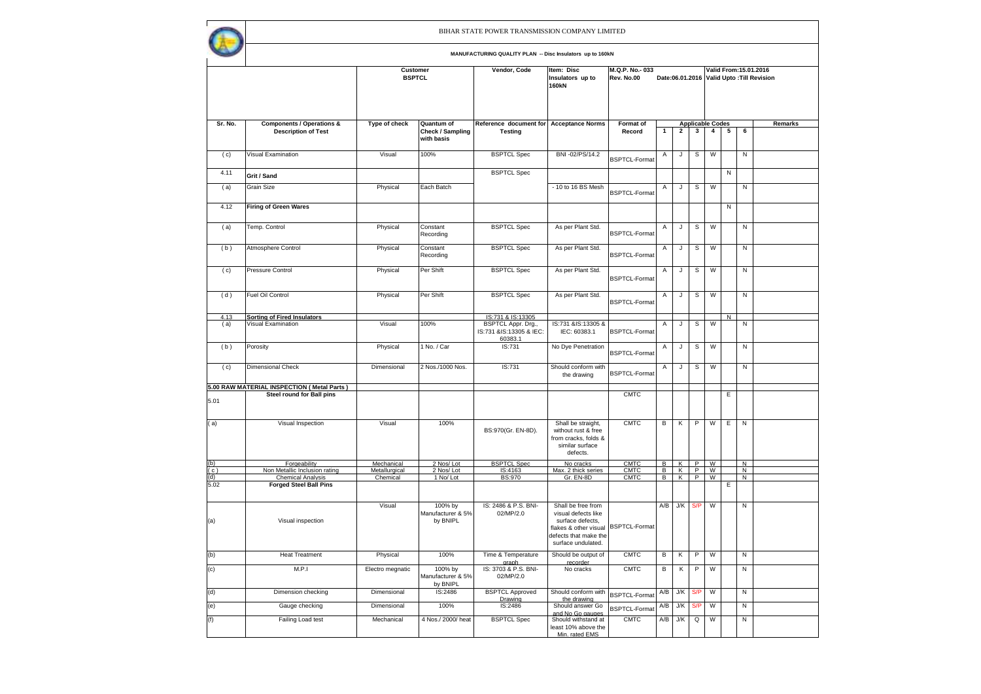|            |                                                                    |                           |                                              | BIHAR STATE POWER TRANSMISSION COMPANY LIMITED<br>MANUFACTURING QUALITY PLAN -- Disc Insulators up to 160kN |                                                                                                                                                     |                              |        |        |        |                              |           |                        |                                           |
|------------|--------------------------------------------------------------------|---------------------------|----------------------------------------------|-------------------------------------------------------------------------------------------------------------|-----------------------------------------------------------------------------------------------------------------------------------------------------|------------------------------|--------|--------|--------|------------------------------|-----------|------------------------|-------------------------------------------|
|            |                                                                    |                           | Customer<br><b>BSPTCL</b>                    | Vendor, Code                                                                                                | Item: Disc<br>Insulators up to<br><b>160kN</b>                                                                                                      | M.Q.P. No. 033<br>Rev. No.00 |        |        |        |                              |           | Valid From: 15.01.2016 | Date:06.01.2016 Valid Upto: Till Revision |
| Sr. No.    | <b>Components / Operations &amp;</b><br><b>Description of Test</b> | Type of check             | Quantum of<br>Check / Sampling<br>with basis | Reference document for<br><b>Testing</b>                                                                    | <b>Acceptance Norms</b>                                                                                                                             | Format of<br>Record          | 1      | 2      | 3      | <b>Applicable Codes</b><br>4 | 5         | 6                      | Б                                         |
| (c)        | Visual Examination                                                 | Visual                    | 100%                                         | <b>BSPTCL Spec</b>                                                                                          | BNI -02/PS/14.2                                                                                                                                     | <b>BSPTCL-Format</b>         | Α      | J      | S      | W                            |           | N                      |                                           |
| 4.11       | Grit / Sand                                                        |                           |                                              | <b>BSPTCL Spec</b>                                                                                          |                                                                                                                                                     |                              |        |        |        |                              | N         |                        |                                           |
| (a)        | Grain Size                                                         | Physical                  | Each Batch                                   |                                                                                                             | - 10 to 16 BS Mesh                                                                                                                                  | <b>BSPTCL-Format</b>         | A      | J      | S      | W                            |           | N                      |                                           |
| 4.12       | Firing of Green Wares                                              |                           |                                              |                                                                                                             |                                                                                                                                                     |                              |        |        |        |                              | N         |                        |                                           |
| (a)        | Temp. Control                                                      | Physical                  | Constant<br>Recording                        | <b>BSPTCL Spec</b>                                                                                          | As per Plant Std.                                                                                                                                   | <b>BSPTCL-Format</b>         | Α      | J      | s      | W                            |           | Ν                      |                                           |
| (b)        | Atmosphere Control                                                 | Physical                  | Constant<br>Recording                        | <b>BSPTCL Spec</b>                                                                                          | As per Plant Std.                                                                                                                                   | <b>BSPTCL-Format</b>         | Α      | J      | s      | W                            |           | N                      |                                           |
| (c)        | Pressure Control                                                   | Physical                  | Per Shift                                    | <b>BSPTCL Spec</b>                                                                                          | As per Plant Std.                                                                                                                                   | <b>BSPTCL-Format</b>         | Α      | J      | s      | W                            |           | N                      |                                           |
| (d)        | <b>Fuel Oil Control</b>                                            | Physical                  | Per Shift                                    | <b>BSPTCL Spec</b>                                                                                          | As per Plant Std.                                                                                                                                   | <b>BSPTCL-Format</b>         | Α      | J      | S      | W                            |           | N                      |                                           |
| 4.13       | <b>Sorting of Fired Insulators</b>                                 |                           |                                              | IS:731 & IS:13305                                                                                           |                                                                                                                                                     |                              |        |        |        |                              | ${\sf N}$ |                        |                                           |
| (a)        | Visual Examination                                                 | Visual                    | 100%                                         | BSPTCL Appr. Drg.,<br>IS:731 &IS:13305 & IEC:<br>60383.1                                                    | IS:731 &IS:13305 &<br>IEC: 60383.1                                                                                                                  | <b>BSPTCL-Format</b>         | Α      | J      | s      | W                            |           | N                      |                                           |
| (b)        | Porosity                                                           | Physical                  | 1 No. / Car                                  | IS:731                                                                                                      | No Dye Penetration                                                                                                                                  | <b>BSPTCL-Format</b>         | Α      | J      | s      | W                            |           | N                      |                                           |
| (c)        | <b>Dimensional Check</b>                                           | Dimensional               | 2 Nos./1000 Nos.                             | IS:731                                                                                                      | Should conform with<br>the drawing                                                                                                                  | <b>BSPTCL-Format</b>         | Α      | J      | s      | W                            |           | N                      |                                           |
|            | 5.00 RAW MATERIAL INSPECTION ( Metal Parts )                       |                           |                                              |                                                                                                             |                                                                                                                                                     |                              |        |        |        |                              |           |                        |                                           |
| 5.01       | <b>Steel round for Ball pins</b>                                   |                           |                                              |                                                                                                             |                                                                                                                                                     | <b>CMTC</b>                  |        |        |        |                              | Ε         |                        |                                           |
| (a)        | Visual Inspection                                                  | Visual                    | 100%                                         | BS:970(Gr. EN-8D).                                                                                          | Shall be straight,<br>without rust & free<br>from cracks, folds &<br>similar surface<br>defects.                                                    | <b>CMTC</b>                  | B      | Κ      | P      | W                            | E         | N                      |                                           |
| (b)        | Forgeability                                                       | Mechanical                | 2 Nos/Lot                                    | <b>BSPTCL Spec</b>                                                                                          | No cracks                                                                                                                                           | <b>CMTC</b>                  | в      | Κ      | P      | W                            |           | Ν                      |                                           |
| (c)<br>(d) | Non Metallic Inclusion rating<br><b>Chemical Analysis</b>          | Metallurgical<br>Chemical | 2 Nos/Lot<br>1 No/Lot                        | IS:4163<br><b>BS:970</b>                                                                                    | Max. 2 thick series<br>Gr. EN-8D                                                                                                                    | <b>CMTC</b><br><b>CMTC</b>   | в<br>В | Κ<br>K | P<br>P | W<br>W                       |           | Ν<br>Ν                 |                                           |
| 5.02       | <b>Forged Steel Ball Pins</b>                                      |                           |                                              |                                                                                                             |                                                                                                                                                     |                              |        |        |        |                              | Ε         |                        |                                           |
| (a)        | Visual inspection                                                  | Visual                    | 100% by<br>Manufacturer & 5%<br>by BNIPL     | IS: 2486 & P.S. BNI-<br>02/MP/2.0                                                                           | Shall be free from<br>visual defects like<br>surface defects.<br>flakes & other visual BSPTCL-Format<br>defects that make the<br>surface undulated. |                              | A/B    | J/K    | S/P    | W                            |           | Ν                      |                                           |

graph

IS: 3703 & P.S. BNI-02/MP/2.0

Drawing

Manufacturer & 5%  $\frac{by BNIPL}{IS:2486}$ 

Should be output of recorder

least 10% above the<br>Min. rated EMS

(b) Heat Treatment Physical 100% Time & Temperature

(d) Dimension checking Dimensional IS:2486 BSPTCL Approved

the drawing (e) Gauge checking Dimensional 100% IS:2486 Should answer Go

(f) Failing Load test Mechanical 4 Nos./ 2000/ heat BSPTCL Spec Should withstand at

(c) M.P.I Electro megnatic 100% by

**Remarks**

CMTC B K P W N

 $A/B$  J/K Q

No cracks CMTC B K P W N

Should conform with  $BSPTCL-Format$   $A/B$   $J/K$   $S/P$   $W$   $\parallel$   $N$ 

Should answer Go BSPTCL-Format A/B J/K S/P W N<br>and No Go gauges Should withstand at CMTC A/B J/K Q W N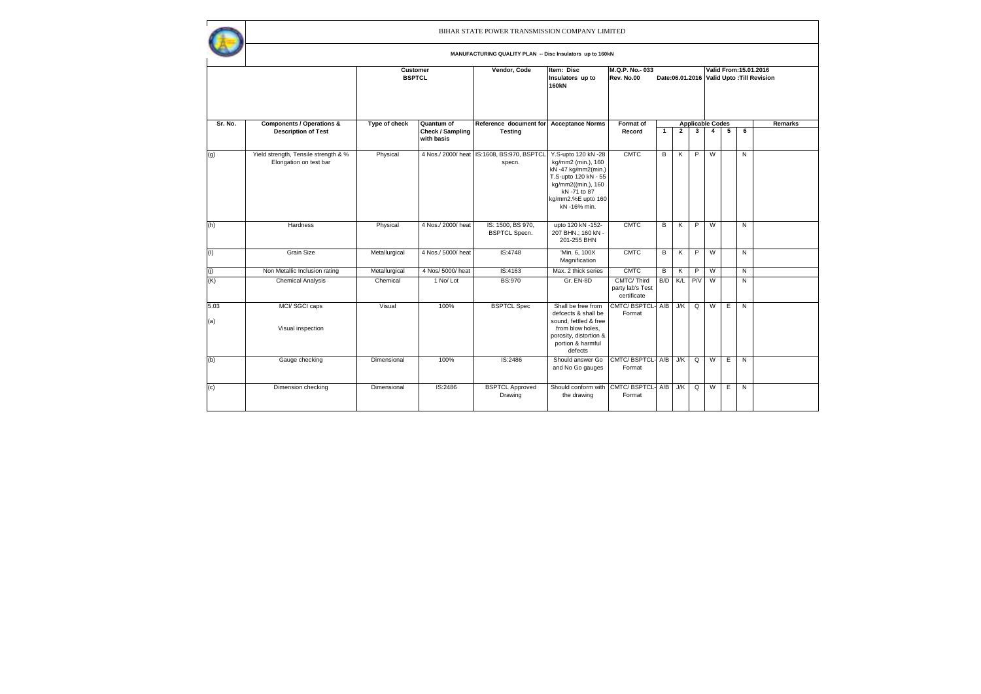$\mathsf{r}$ 

|             |                                                                |               | Item: Disc<br>M.Q.P. No.-033<br><b>Customer</b><br>Vendor, Code<br><b>BSPTCL</b><br>Rev. No.00<br>Insulators up to<br><b>160kN</b><br>Quantum of<br>Reference document for<br>Format of<br><b>Acceptance Norms</b> |                                                      |                                                                                                                                                                     | Date:06.01.2016 Valid Upto: Till Revision<br><b>Applicable Codes</b> |              |              |     |   |   |   | Valid From: 15.01.2016 |
|-------------|----------------------------------------------------------------|---------------|--------------------------------------------------------------------------------------------------------------------------------------------------------------------------------------------------------------------|------------------------------------------------------|---------------------------------------------------------------------------------------------------------------------------------------------------------------------|----------------------------------------------------------------------|--------------|--------------|-----|---|---|---|------------------------|
| Sr. No.     | <b>Components / Operations &amp;</b>                           | Type of check |                                                                                                                                                                                                                    |                                                      |                                                                                                                                                                     |                                                                      |              |              |     |   |   |   | <b>Remarks</b>         |
|             | <b>Description of Test</b>                                     |               | Check / Sampling<br>with basis                                                                                                                                                                                     | <b>Testing</b>                                       |                                                                                                                                                                     | Record                                                               | $\mathbf{1}$ | $\mathbf{2}$ | 3   | 4 | 5 | 6 |                        |
| (g)         | Yield strength, Tensile strength & %<br>Elongation on test bar | Physical      |                                                                                                                                                                                                                    | 4 Nos./ 2000/ heat IS:1608, BS:970, BSPTCL<br>specn. | Y.S-upto 120 kN -28<br>kg/mm2 (min.), 160<br>kN -47 kg/mm2(min.)<br>T.S-upto 120 kN - 55<br>kg/mm2((min.), 160<br>kN-71 to 87<br>kg/mm2.%E upto 160<br>kN -16% min. | <b>CMTC</b>                                                          | в            | Κ            | P   | W |   | N |                        |
| (h)         | Hardness                                                       | Physical      | 4 Nos./ 2000/ heat                                                                                                                                                                                                 | IS: 1500, BS 970,<br><b>BSPTCL Specn.</b>            | upto 120 kN -152-<br>207 BHN.; 160 kN -<br>201-255 BHN                                                                                                              | <b>CMTC</b>                                                          | в            | Κ            | P   | W |   | N |                        |
| (1)         | <b>Grain Size</b>                                              | Metallurgical | 4 Nos./ 5000/ heat                                                                                                                                                                                                 | IS:4748                                              | 'Min. 6, 100X<br>Magnification                                                                                                                                      | <b>CMTC</b>                                                          | в            | Κ            | P   | W |   | N |                        |
| (j)         | Non Metallic Inclusion rating                                  | Metallurgical | 4 Nos/ 5000/ heat                                                                                                                                                                                                  | IS:4163                                              | Max. 2 thick series                                                                                                                                                 | <b>CMTC</b>                                                          | в            | Κ            | P   | W |   | N |                        |
| (K)         | <b>Chemical Analysis</b>                                       | Chemical      | 1 No/ Lot                                                                                                                                                                                                          | <b>BS:970</b>                                        | Gr. EN-8D                                                                                                                                                           | CMTC/Third<br>party lab's Test<br>certificate                        | B/D          | K/L          | P/V | W |   | Ν |                        |
| 5.03<br>(a) | MCI/SGCI caps<br>Visual inspection                             | Visual        | 100%                                                                                                                                                                                                               | <b>BSPTCL Spec</b>                                   | Shall be free from<br>defcects & shall be<br>sound, fettled & free<br>from blow holes,<br>porosity, distortion &<br>portion & harmful<br>defects                    | CMTC/BSPTCL-<br>Format                                               | A/B          | J/K          | Q   | W | E | N |                        |
| (b)         | Gauge checking                                                 | Dimensional   | 100%                                                                                                                                                                                                               | IS:2486                                              | Should answer Go<br>and No Go gauges                                                                                                                                | CMTC/BSPTCL-<br>Format                                               | A/B          | J/K          | Q   | W | Е | N |                        |
| (c)         | Dimension checking                                             | Dimensional   | IS:2486                                                                                                                                                                                                            | <b>BSPTCL Approved</b><br>Drawing                    | Should conform with<br>the drawing                                                                                                                                  | CMTC/BSPTCL-<br>Format                                               | A/B          | J/K          | Q   | W | Е | N |                        |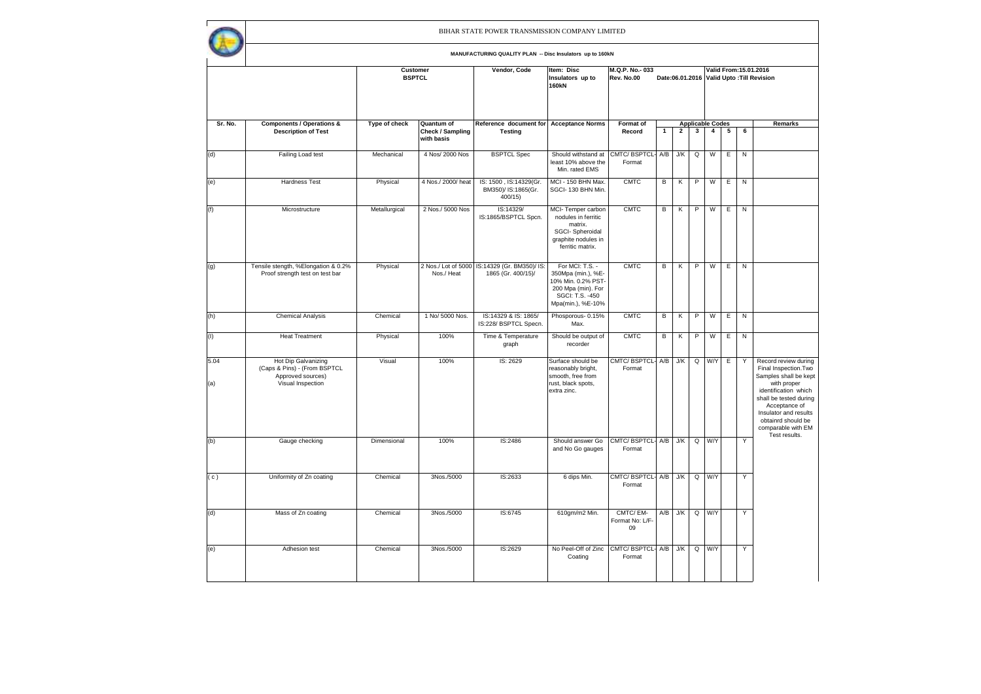$\mathsf{r}$ 

|             |                                                                                               |               | <b>Customer</b><br><b>BSPTCL</b>             | Vendor, Code                                                        | Item: Disc<br>Insulators up to<br><b>160kN</b>                                                                            | M.Q.P. No. 033<br>Rev. No.00      |              |                |              |                                           |   |           | Valid From: 15.01.2016<br>Date:06.01.2016 Valid Upto: Till Revision                                                                                                                                                           |
|-------------|-----------------------------------------------------------------------------------------------|---------------|----------------------------------------------|---------------------------------------------------------------------|---------------------------------------------------------------------------------------------------------------------------|-----------------------------------|--------------|----------------|--------------|-------------------------------------------|---|-----------|-------------------------------------------------------------------------------------------------------------------------------------------------------------------------------------------------------------------------------|
| Sr. No.     | <b>Components / Operations &amp;</b><br><b>Description of Test</b>                            | Type of check | Quantum of<br>Check / Sampling<br>with basis | Reference document for Acceptance Norms<br><b>Testing</b>           |                                                                                                                           | Format of<br>Record               | $\mathbf{1}$ | $\overline{2}$ | $\mathbf{3}$ | <b>Applicable Codes</b><br>$\overline{4}$ | 5 | 6         | Remarks                                                                                                                                                                                                                       |
| (d)         | Failing Load test                                                                             | Mechanical    | 4 Nos/ 2000 Nos                              | <b>BSPTCL Spec</b>                                                  | Should withstand at<br>least 10% above the<br>Min. rated EMS                                                              | CMTC/ BSPTCL- A/B<br>Format       |              | J/K            | Q            | W                                         | Ε | ${\sf N}$ |                                                                                                                                                                                                                               |
| (e)         | <b>Hardness Test</b>                                                                          | Physical      | 4 Nos./ 2000/ heat                           | IS: 1500, IS:14329(Gr.<br>BM350)/ IS:1865(Gr.<br>400/15             | MCI - 150 BHN Max.<br>SGCI-130 BHN Min.                                                                                   | <b>CMTC</b>                       | в            | κ              | P            | W                                         | Ε | ${\sf N}$ |                                                                                                                                                                                                                               |
| (f)         | Microstructure                                                                                | Metallurgical | 2 Nos./ 5000 Nos                             | IS:14329/<br>IS:1865/BSPTCL Spcn.                                   | MCI-Temper carbon<br>nodules in ferritic<br>matrix.<br>SGCI-Spheroidal<br>graphite nodules in<br>ferritic matrix.         | <b>CMTC</b>                       | в            | К              | P            | W                                         | Ε | ${\sf N}$ |                                                                                                                                                                                                                               |
| (g)         | Tensile stength, %Elongation & 0.2%<br>Proof strength test on test bar                        | Physical      | Nos./ Heat                                   | 2 Nos./ Lot of 5000 IS:14329 (Gr. BM350)/ IS:<br>1865 (Gr. 400/15)/ | For MCI: T.S. -<br>350Mpa (min.), %E-<br>10% Min. 0.2% PST-<br>200 Mpa (min). For<br>SGCI: T.S. -450<br>Mpa(min.), %E-10% | <b>CMTC</b>                       | в            | К              | P            | W                                         | Ε | ${\sf N}$ |                                                                                                                                                                                                                               |
| (h)         | <b>Chemical Analysis</b>                                                                      | Chemical      | 1 No/ 5000 Nos.                              | IS:14329 & IS: 1865/<br>IS:228/ BSPTCL Specn.                       | Phosporous-0.15%<br>Max.                                                                                                  | <b>CMTC</b>                       | в            | κ              | P            | W                                         | Ε | ${\sf N}$ |                                                                                                                                                                                                                               |
| (1)         | <b>Heat Treatment</b>                                                                         | Physical      | 100%                                         | Time & Temperature<br>graph                                         | Should be output of<br>recorder                                                                                           | <b>CMTC</b>                       | в            | К              | P            | W                                         | Ε | ${\sf N}$ |                                                                                                                                                                                                                               |
| 5.04<br>(a) | Hot Dip Galvanizing<br>(Caps & Pins) - (From BSPTCL<br>Approved sources)<br>Visual Inspection | Visual        | 100%                                         | IS: 2629                                                            | Surface should be<br>reasonably bright,<br>smooth, free from<br>rust, black spots,<br>extra zinc.                         | CMTC/ BSPTCL- A/B<br>Format       |              | J/K            | Q            | W/Y                                       | Е | Υ         | Record review during<br>Final Inspection. Two<br>Samples shall be kept<br>with proper<br>identification which<br>shall be tested during<br>Acceptance of<br>Insulator and results<br>obtainrd should be<br>comparable with EM |
| (b)         | Gauge checking                                                                                | Dimensional   | 100%                                         | IS:2486                                                             | Should answer Go<br>and No Go gauges                                                                                      | CMTC/BSPTCL-A/B<br>Format         |              | J/K            | Q            | W/Y                                       |   | Y         | Test results.                                                                                                                                                                                                                 |
| (c)         | Uniformity of Zn coating                                                                      | Chemical      | 3Nos./5000                                   | IS:2633                                                             | 6 dips Min.                                                                                                               | CMTC/ BSPTCL- A/B<br>Format       |              | J/K            |              | $Q$ $W/Y$                                 |   | Y         |                                                                                                                                                                                                                               |
| (d)         | Mass of Zn coating                                                                            | Chemical      | 3Nos./5000                                   | IS:6745                                                             | 610gm/m2 Min.                                                                                                             | CMTC/EM-<br>Format No: L/F-<br>09 | A/B          | ${\sf J/K}$    | Q            | W/Y                                       |   | Υ         |                                                                                                                                                                                                                               |
| (e)         | Adhesion test                                                                                 | Chemical      | 3Nos./5000                                   | IS:2629                                                             | No Peel-Off of Zinc<br>Coating                                                                                            | CMTC/ BSPTCL- A/B<br>Format       |              | J/K            | Q            | W/Y                                       |   | Υ         |                                                                                                                                                                                                                               |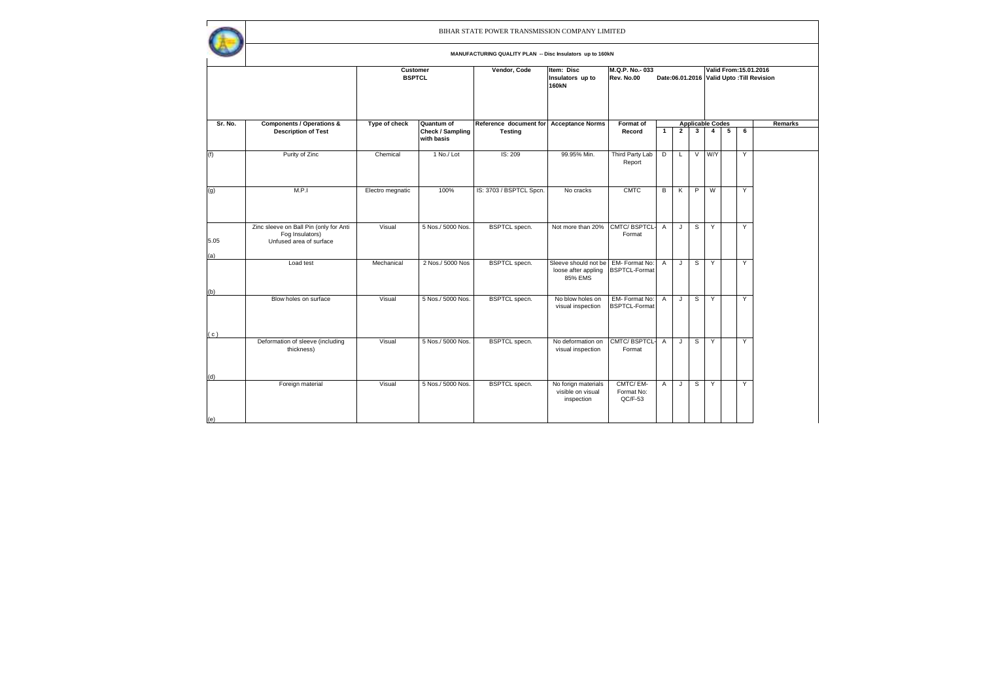$\mathbf{r}$ 

|             |                                                                                      | Customer<br><b>BSPTCL</b> |                                | Vendor, Code            | Item: Disc<br>Insulators up to<br><b>160kN</b>         | M.Q.P. No. 033<br>Rev. No.00           |                |                |        | Valid From: 15.01.2016<br>Date:06.01.2016 Valid Upto: Till Revision |   |   |         |  |  |  |  |
|-------------|--------------------------------------------------------------------------------------|---------------------------|--------------------------------|-------------------------|--------------------------------------------------------|----------------------------------------|----------------|----------------|--------|---------------------------------------------------------------------|---|---|---------|--|--|--|--|
| Sr. No.     | <b>Components / Operations &amp;</b>                                                 | Type of check             | Quantum of                     | Reference document for  | <b>Acceptance Norms</b>                                | Format of                              |                |                |        | <b>Applicable Codes</b>                                             |   |   | Remarks |  |  |  |  |
|             | <b>Description of Test</b>                                                           |                           | Check / Sampling<br>with basis | <b>Testing</b>          |                                                        | Record                                 | $\mathbf{1}$   | $\overline{2}$ | 3      | $\overline{4}$                                                      | 5 | 6 |         |  |  |  |  |
| (f)         | Purity of Zinc                                                                       | Chemical                  | 1 No./ Lot                     | IS: 209                 | 99.95% Min.                                            | Third Party Lab<br>Report              | D              | L              | $\vee$ | <b>W/Y</b>                                                          |   | Y |         |  |  |  |  |
| (g)         | M.P.1                                                                                | Electro megnatic          | 100%                           | IS: 3703 / BSPTCL Spcn. | No cracks                                              | <b>CMTC</b>                            | в              | Κ              | P      | W                                                                   |   | Y |         |  |  |  |  |
| 5.05<br>(a) | Zinc sleeve on Ball Pin (only for Anti<br>Fog Insulators)<br>Unfused area of surface | Visual                    | 5 Nos./ 5000 Nos.              | <b>BSPTCL</b> specn.    | Not more than 20%                                      | CMTC/BSPTCL-<br>Format                 | Α              | J              | s      | Y                                                                   |   | Y |         |  |  |  |  |
| (b)         | Load test                                                                            | Mechanical                | 2 Nos./ 5000 Nos               | <b>BSPTCL</b> specn.    | Sleeve should not be<br>loose after appling<br>85% EMS | EM- Format No:<br><b>BSPTCL-Format</b> | $\overline{A}$ | J              | s      | Y                                                                   |   | Y |         |  |  |  |  |
|             | Blow holes on surface                                                                | Visual                    | 5 Nos./ 5000 Nos.              | <b>BSPTCL</b> specn.    | No blow holes on<br>visual inspection                  | EM-Format No:<br><b>BSPTCL-Format</b>  | $\overline{A}$ | J              | s      | Y                                                                   |   | Y |         |  |  |  |  |
| (c)         | Deformation of sleeve (including<br>thickness)                                       | Visual                    | 5 Nos./ 5000 Nos.              | <b>BSPTCL</b> specn.    | No deformation on<br>visual inspection                 | CMTC/BSPTCL-<br>Format                 | A              | J              | s      | Y                                                                   |   | Y |         |  |  |  |  |
| (d)<br>(e)  | Foreign material                                                                     | Visual                    | 5 Nos./ 5000 Nos.              | <b>BSPTCL</b> specn.    | No forign materials<br>visible on visual<br>inspection | CMTC/EM-<br>Format No:<br>$QC/F-53$    | Α              | J              | s      | Y                                                                   |   | Y |         |  |  |  |  |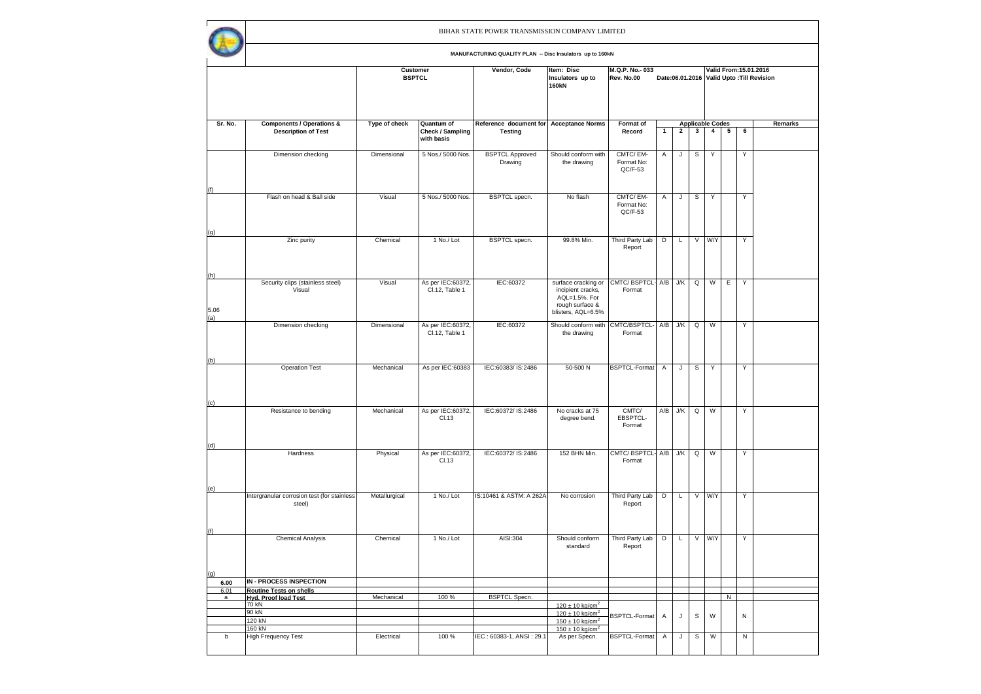|              |                                                                    |               | Customer<br><b>BSPTCL</b>                    |                                                           | Item: Disc<br>Insulators up to<br>160kN                                                                                                  | M.Q.P. No. 033<br>Rev. No.00        |                |                |              |                                           |            |           | Valid From: 15.01.2016<br>Date:06.01.2016 Valid Upto: Till Revision |  |  |
|--------------|--------------------------------------------------------------------|---------------|----------------------------------------------|-----------------------------------------------------------|------------------------------------------------------------------------------------------------------------------------------------------|-------------------------------------|----------------|----------------|--------------|-------------------------------------------|------------|-----------|---------------------------------------------------------------------|--|--|
| Sr. No.      |                                                                    |               |                                              |                                                           |                                                                                                                                          |                                     |                |                |              |                                           |            |           |                                                                     |  |  |
|              | <b>Components / Operations &amp;</b><br><b>Description of Test</b> | Type of check | Quantum of<br>Check / Sampling<br>with basis | Reference document for Acceptance Norms<br><b>Testing</b> |                                                                                                                                          | Format of<br>Record                 | $\mathbf{1}$   | $\overline{2}$ | $\mathbf{3}$ | <b>Applicable Codes</b><br>$\overline{4}$ | $\sqrt{5}$ | 6         | Remarks                                                             |  |  |
|              | Dimension checking                                                 | Dimensional   | 5 Nos./ 5000 Nos.                            | <b>BSPTCL Approved</b><br>Drawing                         | Should conform with<br>the drawing                                                                                                       | CMTC/EM-<br>Format No:<br>$QC/F-53$ | Α              | J              | $\mathbb S$  | Υ                                         |            | Υ         |                                                                     |  |  |
| (f)          | Flash on head & Ball side                                          | Visual        | 5 Nos./ 5000 Nos.                            | <b>BSPTCL</b> specn.                                      | No flash                                                                                                                                 | CMTC/EM-<br>Format No:<br>QC/F-53   | Α              | J              | $\texttt{S}$ | Υ                                         |            | Υ         |                                                                     |  |  |
| (g)          | Zinc purity                                                        | Chemical      | 1 No./ Lot                                   | <b>BSPTCL</b> specn.                                      | 99.8% Min.                                                                                                                               | Third Party Lab<br>Report           | Þ              | L              |              | V W/Y                                     |            | Y         |                                                                     |  |  |
| (h)<br>5.06  | Security clips (stainless steel)<br>Visual                         | Visual        | As per IEC:60372,<br>Cl.12, Table 1          | IEC:60372                                                 | surface cracking or<br>incipient cracks,<br>AQL=1.5%. For<br>rough surface &<br>blisters, AQL=6.5%                                       | CMTC/ BSPTCL-<br>Format             | A/B            | J/K            | Q            | W                                         | Ε          | Y         |                                                                     |  |  |
| (a)          | Dimension checking                                                 | Dimensional   | As per IEC:60372,<br>Cl.12, Table 1          | IEC:60372                                                 | Should conform with<br>the drawing                                                                                                       | CMTC/BSPTCL-<br>Format              | A/B            | ${\sf J/K}$    | $\mathsf Q$  | W                                         |            | Υ         |                                                                     |  |  |
| (b)          | <b>Operation Test</b>                                              | Mechanical    | As per IEC:60383                             | IEC:60383/IS:2486                                         | 50-500 N                                                                                                                                 | <b>BSPTCL-Format</b>                | $\mathsf{A}$   | J              | S            | Y                                         |            | Y         |                                                                     |  |  |
| (c)          | Resistance to bending                                              | Mechanical    | As per IEC:60372,<br>Cl.13                   | IEC:60372/ IS:2486                                        | No cracks at 75<br>degree bend.                                                                                                          | CMTC/<br>EBSPTCL-<br>Format         | A/B            | J/K            | Q            | W                                         |            | Υ         |                                                                     |  |  |
| (d)          | Hardness                                                           | Physical      | As per IEC:60372,<br>Cl.13                   | IEC:60372/ IS:2486                                        | 152 BHN Min.                                                                                                                             | CMTC/ BSPTCL- A/B<br>Format         |                | J/K            | Q            | W                                         |            | Y         |                                                                     |  |  |
| (e)          | Intergranular corrosion test (for stainless<br>steel)              | Metallurgical | 1 No./ Lot                                   | IS:10461 & ASTM: A 262A                                   | No corrosion                                                                                                                             | Third Party Lab<br>Report           | Þ              | L              | $\sqrt{2}$   | W/Y                                       |            | Y         |                                                                     |  |  |
| (f)          | <b>Chemical Analysis</b>                                           | Chemical      | 1 No./ Lot                                   | AISI:304                                                  | Should conform<br>standard                                                                                                               | Third Party Lab<br>Report           | D              | L              | $\vee$       | W/Y                                       |            | Y         |                                                                     |  |  |
| (g)          | IN - PROCESS INSPECTION                                            |               |                                              |                                                           |                                                                                                                                          |                                     |                |                |              |                                           |            |           |                                                                     |  |  |
| 6.00<br>6.01 | <b>Routine Tests on shells</b>                                     |               |                                              |                                                           |                                                                                                                                          |                                     |                |                |              |                                           |            |           |                                                                     |  |  |
| a            | <b>Hyd. Proof load Test</b>                                        | Mechanical    | 100 %                                        | <b>BSPTCL Specn</b>                                       |                                                                                                                                          |                                     |                |                |              |                                           | N          |           |                                                                     |  |  |
|              | 70 kN<br>90 kN<br>120 kN<br>160 kN                                 |               |                                              |                                                           | $120 \pm 10$ kg/cm <sup>2</sup><br>$120 \pm 10$ kg/cm <sup>2</sup><br>$150 \pm 10$ kg/cm <sup>2</sup><br>$150 \pm 10$ kg/cm <sup>2</sup> | <b>BSPTCL-Format</b>                | A              | $\mathsf J$    | $\mathsf{s}$ | W                                         |            | ${\sf N}$ |                                                                     |  |  |
| b            | High Frequency Test                                                | Electrical    | 100%                                         | IEC: 60383-1, ANSI: 29.1                                  | As per Specn.                                                                                                                            | <b>BSPTCL-Format</b>                | $\overline{A}$ | J              | $\mathsf{s}$ | W                                         |            | N         |                                                                     |  |  |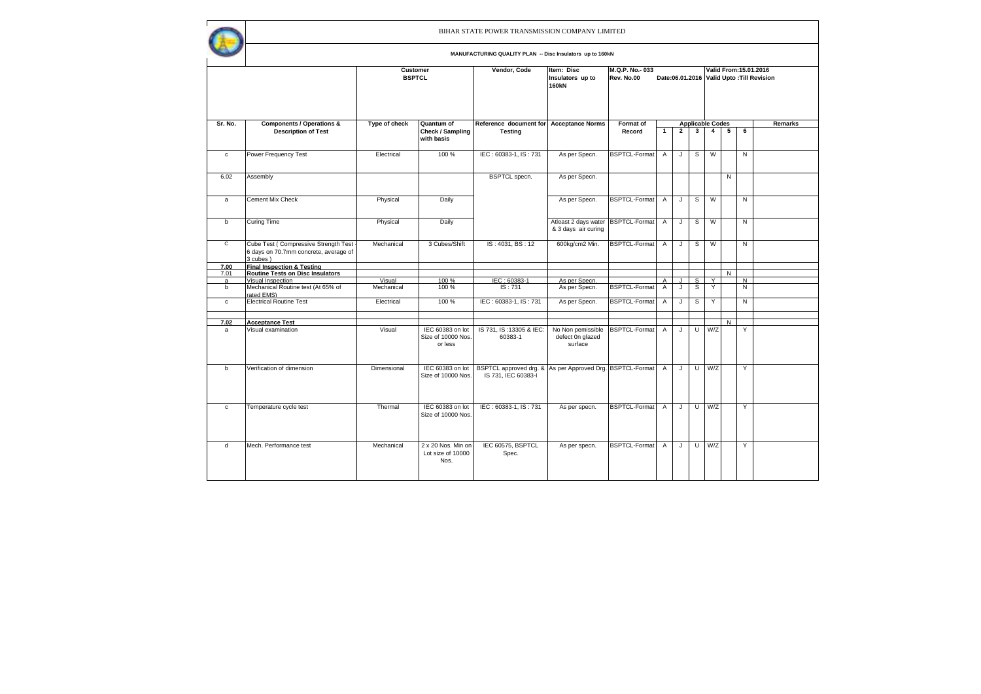|                |                                                                                             |                           |                                                   | BIHAR STATE POWER TRANSMISSION COMPANY LIMITED                                   |                                                  |                              |                     |                |              |                                           |                |                                                                     |         |
|----------------|---------------------------------------------------------------------------------------------|---------------------------|---------------------------------------------------|----------------------------------------------------------------------------------|--------------------------------------------------|------------------------------|---------------------|----------------|--------------|-------------------------------------------|----------------|---------------------------------------------------------------------|---------|
|                |                                                                                             |                           |                                                   | MANUFACTURING QUALITY PLAN -- Disc Insulators up to 160kN                        |                                                  |                              |                     |                |              |                                           |                |                                                                     |         |
|                |                                                                                             | Customer<br><b>BSPTCL</b> |                                                   | Vendor, Code                                                                     | Item: Disc<br>Insulators up to<br><b>160kN</b>   | M.Q.P. No. 033<br>Rev. No.00 |                     |                |              |                                           |                | Valid From: 15.01.2016<br>Date:06.01.2016 Valid Upto: Till Revision |         |
|                |                                                                                             |                           |                                                   |                                                                                  |                                                  |                              |                     |                |              |                                           |                |                                                                     |         |
| Sr. No.        | <b>Components / Operations &amp;</b><br><b>Description of Test</b>                          | Type of check             | Quantum of<br>Check / Sampling<br>with basis      | Reference document for Acceptance Norms<br><b>Testing</b>                        |                                                  | Format of<br>Record          | $\mathbf{1}$        | $\overline{2}$ | $\mathbf{3}$ | <b>Applicable Codes</b><br>$\overline{a}$ | 5              | 6                                                                   | Remarks |
| $\mathbf c$    | Power Frequency Test                                                                        | Electrical                | 100 %                                             | IEC: 60383-1, IS: 731                                                            | As per Specn.                                    | <b>BSPTCL-Format</b>         | Α                   | J              | S            | W                                         |                | N                                                                   |         |
| 6.02           | Assembly                                                                                    |                           |                                                   | <b>BSPTCL</b> specn.                                                             | As per Specn.                                    |                              |                     |                |              |                                           | N              |                                                                     |         |
| a              | <b>Cement Mix Check</b>                                                                     | Physical                  | Daily                                             |                                                                                  | As per Specn.                                    | <b>BSPTCL-Format</b>         | $\overline{A}$      | J              | S            | W                                         |                | N                                                                   |         |
| b              | Curing Time                                                                                 | Physical                  | Daily                                             |                                                                                  | Atleast 2 days water<br>& 3 days air curing      | BSPTCL-Format                | $\mathsf{A}$        | J              | s            | W                                         |                | N                                                                   |         |
| $\overline{c}$ | Cube Test (Compressive Strength Test -<br>6 days on 70.7mm concrete, average of<br>3 cubes) | Mechanical                | 3 Cubes/Shift                                     | IS: 4031, BS: 12                                                                 | 600kg/cm2 Min.                                   | <b>BSPTCL-Format</b>         | A                   | J              | S            | W                                         |                | N                                                                   |         |
| 7.00           | <b>Final Inspection &amp; Testing</b>                                                       |                           |                                                   |                                                                                  |                                                  |                              |                     |                |              |                                           |                |                                                                     |         |
| 7.01           | <b>Routine Tests on Disc Insulators</b>                                                     |                           |                                                   |                                                                                  |                                                  |                              |                     |                |              |                                           | $\overline{N}$ |                                                                     |         |
| a<br>b         | Visual Inspection<br>Mechanical Routine test (At 65% of<br>rated EMS)                       | Visual<br>Mechanical      | 100%<br>100 %                                     | IEC: 60383-1<br>IS: 731                                                          | As per Specn.<br>As per Specn.                   | <b>BSPTCL-Format</b>         | A<br>$\overline{A}$ | J<br>J         | s<br>S       | Y<br>Y                                    |                | N<br>N                                                              |         |
| $\mathbf c$    | <b>Electrical Routine Test</b>                                                              | Electrical                | 100 %                                             | IEC: 60383-1, IS: 731                                                            | As per Specn.                                    | BSPTCL-Format                | Α                   | J              | s            | Y                                         |                | Ñ                                                                   |         |
| 7.02           | <b>Acceptance Test</b>                                                                      |                           |                                                   |                                                                                  |                                                  |                              |                     |                |              |                                           | N              |                                                                     |         |
| a              | Visual examination                                                                          | Visual                    | IEC 60383 on lot<br>Size of 10000 Nos.<br>or less | IS 731, IS: 13305 & IEC:<br>60383-1                                              | No Non pemissible<br>defect 0n glazed<br>surface | <b>BSPTCL-Format</b>         | $\overline{A}$      | J              | $\cup$       | W/Z                                       |                | Y                                                                   |         |
| h              | Verification of dimension                                                                   | Dimensional               | IEC 60383 on lot<br>Size of 10000 Nos.            | BSPTCL approved drg. & As per Approved Drg. BSPTCL-Format<br>IS 731, IEC 60383-I |                                                  |                              | $\mathsf{A}$        | J              | $\mathbf{U}$ | W/Z                                       |                | Y                                                                   |         |
| $\mathbf{c}$   | Temperature cycle test                                                                      | Thermal                   | IEC 60383 on lot<br>Size of 10000 Nos.            | IEC: 60383-1, IS: 731                                                            | As per specn.                                    | BSPTCL-Format                | $\mathsf{A}$        | J              | U            | W/Z                                       |                | Y                                                                   |         |
| d              | Mech. Performance test                                                                      | Mechanical                | 2 x 20 Nos. Min on<br>Lot size of 10000<br>Nos.   | IEC 60575, BSPTCL<br>Spec.                                                       | As per specn.                                    | <b>BSPTCL-Format</b>         | $\overline{A}$      | J              | U            | W/Z                                       |                | Y                                                                   |         |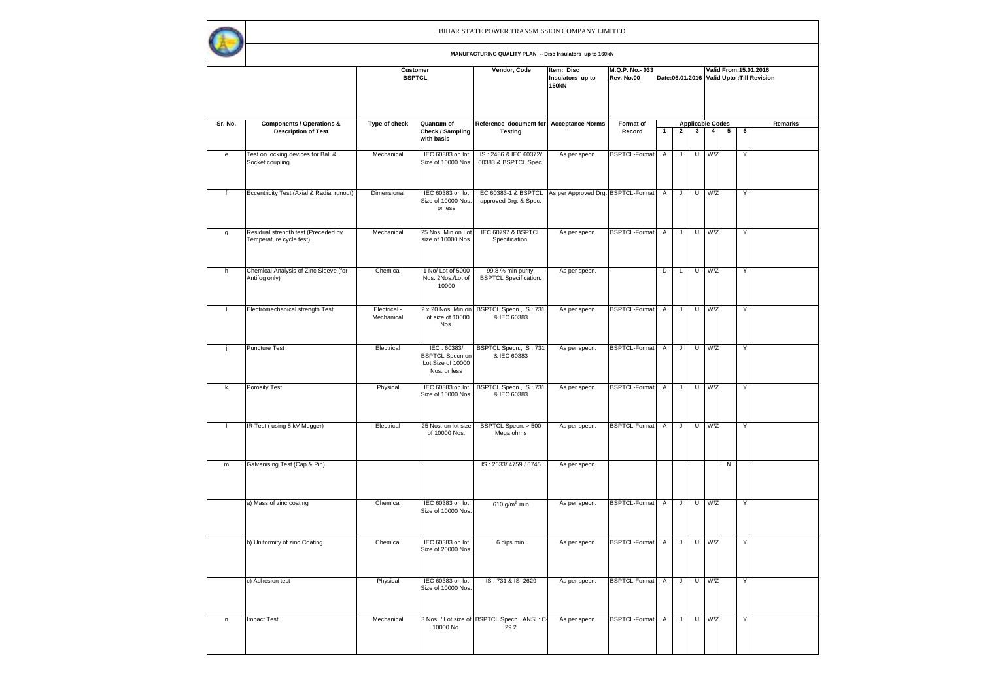|              |                                                                | Customer<br><b>BSPTCL</b>  |                                                                            | Vendor, Code                                        | M.Q.P. No. 033<br>Rev. No.00       |                      |                | Valid From: 15.01.2016<br>Date:06.01.2016 Valid Upto: Till Revision |                |                         |                |   |         |  |
|--------------|----------------------------------------------------------------|----------------------------|----------------------------------------------------------------------------|-----------------------------------------------------|------------------------------------|----------------------|----------------|---------------------------------------------------------------------|----------------|-------------------------|----------------|---|---------|--|
| Sr. No.      | <b>Components / Operations &amp;</b>                           | Type of check              | Quantum of                                                                 | Reference document for Acceptance Norms             |                                    | Format of            |                |                                                                     |                | <b>Applicable Codes</b> |                |   | Remarks |  |
|              | <b>Description of Test</b>                                     |                            | Check / Sampling<br>with basis                                             | <b>Testing</b>                                      |                                    | Record               | $\mathbf{1}$   | $\overline{2}$                                                      | 3              | $\overline{4}$          | 5              | 6 |         |  |
| e            | Test on locking devices for Ball &<br>Socket coupling.         | Mechanical                 | IEC 60383 on lot<br>Size of 10000 Nos.                                     | IS: 2486 & IEC 60372/<br>60383 & BSPTCL Spec.       | As per specn.                      | <b>BSPTCL-Format</b> | A              | $\sf J$                                                             | U              | W/Z                     |                | Y |         |  |
| $\mathsf f$  | Eccentricity Test (Axial & Radial runout)                      | Dimensional                | IEC 60383 on lot<br>Size of 10000 Nos.<br>or less                          | IEC 60383-1 & BSPTCL<br>approved Drg. & Spec.       | As per Approved Drg. BSPTCL-Format |                      | A              | J                                                                   | U              | W/Z                     |                | Y |         |  |
| g            | Residual strength test (Preceded by<br>Temperature cycle test) | Mechanical                 | 25 Nos. Min on Lot<br>size of 10000 Nos.                                   | IEC 60797 & BSPTCL<br>Specification.                | As per specn.                      | BSPTCL-Format        | A              | J                                                                   | U              | W/Z                     |                | Υ |         |  |
| h            | Chemical Analysis of Zinc Sleeve (for<br>Antifog only)         | Chemical                   | 1 No/ Lot of 5000<br>Nos. 2Nos./Lot of<br>10000                            | 99.8 % min purity.<br><b>BSPTCL Specification.</b>  | As per specn.                      |                      | D              | L                                                                   | $\overline{U}$ | W/Z                     |                | Υ |         |  |
| $\mathbf{I}$ | Electromechanical strength Test.                               | Electrical -<br>Mechanical | 2 x 20 Nos. Min on<br>Lot size of 10000<br>Nos.                            | BSPTCL Specn., IS: 731<br>& IEC 60383               | As per specn.                      | BSPTCL-Format        | $\mathsf{A}$   | J                                                                   |                | $U$ $W/Z$               |                | Y |         |  |
| j            | <b>Puncture Test</b>                                           | Electrical                 | IEC: 60383/<br><b>BSPTCL Specn on</b><br>Lot Size of 10000<br>Nos. or less | BSPTCL Specn., IS: 731<br>& IEC 60383               | As per specn.                      | <b>BSPTCL-Format</b> | $\overline{A}$ | J                                                                   | $\overline{U}$ | W/Z                     |                | Υ |         |  |
| k            | <b>Porosity Test</b>                                           | Physical                   | IEC 60383 on lot<br>Size of 10000 Nos.                                     | BSPTCL Specn., IS: 731<br>& IEC 60383               | As per specn.                      | <b>BSPTCL-Format</b> | Α              | J                                                                   | $\overline{U}$ | W/Z                     |                | Ϋ |         |  |
| $\mathbf{I}$ | IR Test (using 5 kV Megger)                                    | Electrical                 | 25 Nos. on lot size<br>of 10000 Nos.                                       | BSPTCL Specn. > 500<br>Mega ohms                    | As per specn.                      | <b>BSPTCL-Format</b> | Α              | J                                                                   | U              | W/Z                     |                | Y |         |  |
| m            | Galvanising Test (Cap & Pin)                                   |                            |                                                                            | IS: 2633/4759 / 6745                                | As per specn.                      |                      |                |                                                                     |                |                         | $\overline{N}$ |   |         |  |
|              | a) Mass of zinc coating                                        | Chemical                   | IEC 60383 on lot<br>Size of 10000 Nos.                                     | 610 g/m <sup>2</sup> min                            | As per specn.                      | <b>BSPTCL-Format</b> | Α              | J                                                                   | U              | W/Z                     |                | Υ |         |  |
|              | b) Uniformity of zinc Coating                                  | Chemical                   | IEC 60383 on lot<br>Size of 20000 Nos.                                     | 6 dips min.                                         | As per specn.                      | <b>BSPTCL-Format</b> | Α              | J                                                                   | U              | W/Z                     |                | Y |         |  |
|              | c) Adhesion test                                               | Physical                   | IEC 60383 on lot<br>Size of 10000 Nos.                                     | IS: 731 & IS 2629                                   | As per specn.                      | <b>BSPTCL-Format</b> | $\overline{A}$ | J                                                                   |                | $U$ W/Z                 |                | Ϋ |         |  |
| $\sf n$      | <b>Impact Test</b>                                             | Mechanical                 | 10000 No.                                                                  | 3 Nos. / Lot size of BSPTCL Specn. ANSI: C-<br>29.2 | As per specn.                      | <b>BSPTCL-Format</b> | Α              | J                                                                   | U              | W/Z                     |                | Υ |         |  |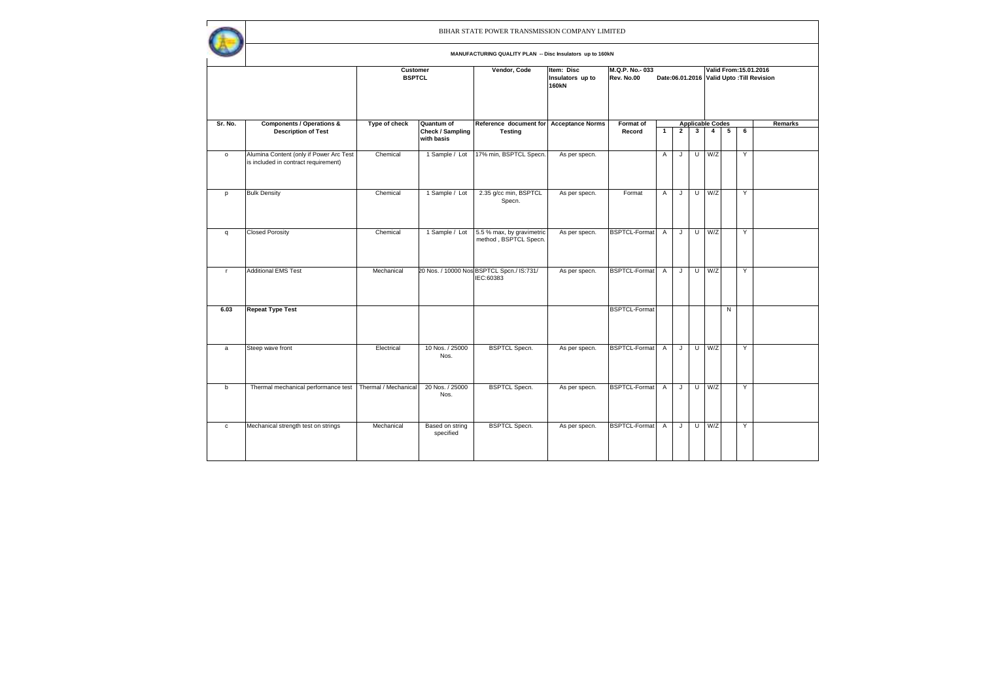|              |                                                                                 |                           |                                                     | BIHAR STATE POWER TRANSMISSION COMPANY LIMITED            |                                                |                              |                |                |     |                                           |                                                                     |   |         |  |  |
|--------------|---------------------------------------------------------------------------------|---------------------------|-----------------------------------------------------|-----------------------------------------------------------|------------------------------------------------|------------------------------|----------------|----------------|-----|-------------------------------------------|---------------------------------------------------------------------|---|---------|--|--|
|              |                                                                                 |                           |                                                     | MANUFACTURING QUALITY PLAN -- Disc Insulators up to 160kN |                                                |                              |                |                |     |                                           |                                                                     |   |         |  |  |
|              |                                                                                 | Customer<br><b>BSPTCL</b> |                                                     | Vendor, Code                                              | Item: Disc<br>Insulators up to<br><b>160kN</b> | M.Q.P. No. 033<br>Rev. No.00 |                |                |     |                                           | Valid From: 15.01.2016<br>Date:06.01.2016 Valid Upto: Till Revision |   |         |  |  |
| Sr. No.      | <b>Components / Operations &amp;</b><br><b>Description of Test</b>              | Type of check             | <b>Quantum of</b><br>Check / Sampling<br>with basis | Reference document for<br><b>Testing</b>                  | <b>Acceptance Norms</b>                        | Format of<br>Record          | $\mathbf{1}$   | $\overline{2}$ | 3   | <b>Applicable Codes</b><br>$\overline{4}$ | 5                                                                   | 6 | Remarks |  |  |
| $\circ$      | Alumina Content (only if Power Arc Test<br>is included in contract requirement) | Chemical                  | 1 Sample / Lot                                      | 17% min, BSPTCL Specn.                                    | As per specn.                                  |                              | Α              | J              | U   | W/Z                                       |                                                                     | Y |         |  |  |
| p            | <b>Bulk Density</b>                                                             | Chemical                  | 1 Sample / Lot                                      | 2.35 g/cc min, BSPTCL<br>Specn.                           | As per specn.                                  | Format                       | $\overline{A}$ | J              | U I | W/Z                                       |                                                                     | Y |         |  |  |
| $\mathsf{q}$ | <b>Closed Porosity</b>                                                          | Chemical                  | 1 Sample / Lot                                      | 5.5 % max, by gravimetric<br>method, BSPTCL Specn.        | As per specn.                                  | BSPTCL-Format                | $\overline{A}$ | J              | U   | W/Z                                       |                                                                     | Y |         |  |  |
| $\mathbf{r}$ | <b>Additional EMS Test</b>                                                      | Mechanical                |                                                     | 20 Nos. / 10000 Nos BSPTCL Spcn./ IS:731/<br>IEC:60383    | As per specn.                                  | <b>BSPTCL-Format</b>         | $\overline{A}$ | J              |     | $U$ $W/Z$                                 |                                                                     | Y |         |  |  |
| 6.03         | <b>Repeat Type Test</b>                                                         |                           |                                                     |                                                           |                                                | <b>BSPTCL-Format</b>         |                |                |     |                                           | N                                                                   |   |         |  |  |
| $\mathsf{a}$ | Steep wave front                                                                | Electrical                | 10 Nos. / 25000<br>Nos.                             | <b>BSPTCL Specn.</b>                                      | As per specn.                                  | BSPTCL-Format                | Α              | J              |     | $U$ $W/Z$                                 |                                                                     | Y |         |  |  |
| $\mathbf b$  | Thermal mechanical performance test                                             | Thermal / Mechanical      | 20 Nos. / 25000<br>Nos.                             | <b>BSPTCL Specn.</b>                                      | As per specn.                                  | BSPTCL-Format                | Α              | J              | U   | W/Z                                       |                                                                     | Y |         |  |  |
| $\mathtt{C}$ | Mechanical strength test on strings                                             | Mechanical                | Based on string<br>specified                        | <b>BSPTCL Specn.</b>                                      | As per specn.                                  | <b>BSPTCL-Format</b>         | Α              | J              | U   | W/Z                                       |                                                                     | Y |         |  |  |